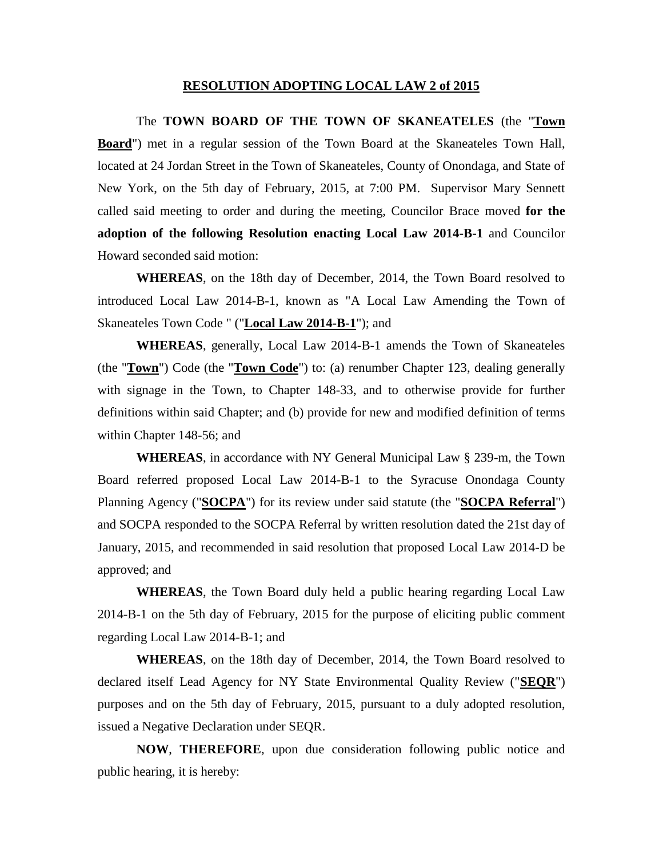#### **RESOLUTION ADOPTING LOCAL LAW 2 of 2015**

The **TOWN BOARD OF THE TOWN OF SKANEATELES** (the "**Town Board**") met in a regular session of the Town Board at the Skaneateles Town Hall, located at 24 Jordan Street in the Town of Skaneateles, County of Onondaga, and State of New York, on the 5th day of February, 2015, at 7:00 PM. Supervisor Mary Sennett called said meeting to order and during the meeting, Councilor Brace moved **for the adoption of the following Resolution enacting Local Law 2014-B-1** and Councilor Howard seconded said motion:

**WHEREAS**, on the 18th day of December, 2014, the Town Board resolved to introduced Local Law 2014-B-1, known as "A Local Law Amending the Town of Skaneateles Town Code " ("**Local Law 2014-B-1**"); and

**WHEREAS**, generally, Local Law 2014-B-1 amends the Town of Skaneateles (the "**Town**") Code (the "**Town Code**") to: (a) renumber Chapter 123, dealing generally with signage in the Town, to Chapter 148-33, and to otherwise provide for further definitions within said Chapter; and (b) provide for new and modified definition of terms within Chapter 148-56; and

**WHEREAS**, in accordance with NY General Municipal Law § 239-m, the Town Board referred proposed Local Law 2014-B-1 to the Syracuse Onondaga County Planning Agency ("**SOCPA**") for its review under said statute (the "**SOCPA Referral**") and SOCPA responded to the SOCPA Referral by written resolution dated the 21st day of January, 2015, and recommended in said resolution that proposed Local Law 2014-D be approved; and

**WHEREAS**, the Town Board duly held a public hearing regarding Local Law 2014-B-1 on the 5th day of February, 2015 for the purpose of eliciting public comment regarding Local Law 2014-B-1; and

**WHEREAS**, on the 18th day of December, 2014, the Town Board resolved to declared itself Lead Agency for NY State Environmental Quality Review ("**SEQR**") purposes and on the 5th day of February, 2015, pursuant to a duly adopted resolution, issued a Negative Declaration under SEQR.

**NOW**, **THEREFORE**, upon due consideration following public notice and public hearing, it is hereby: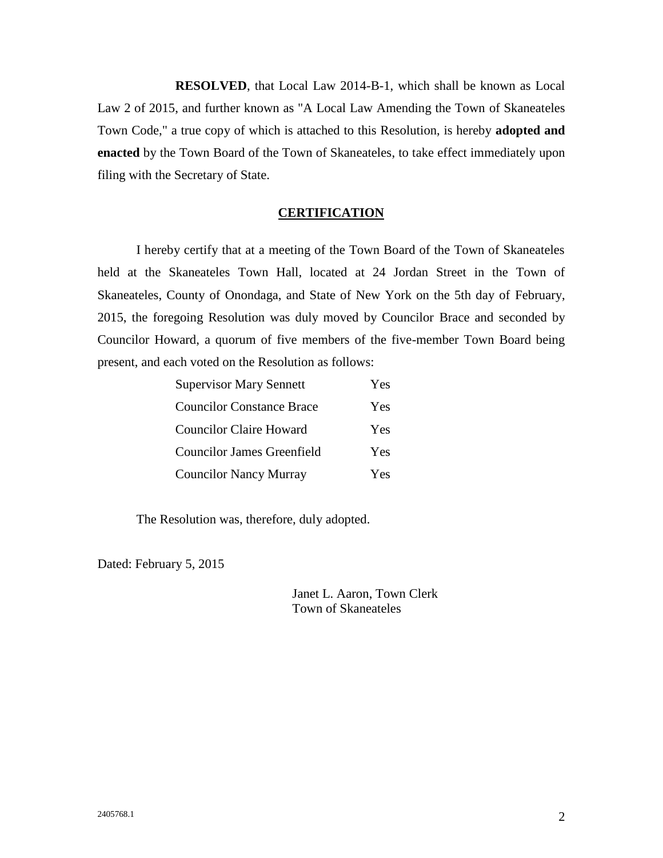**RESOLVED**, that Local Law 2014-B-1, which shall be known as Local Law 2 of 2015, and further known as "A Local Law Amending the Town of Skaneateles Town Code," a true copy of which is attached to this Resolution, is hereby **adopted and enacted** by the Town Board of the Town of Skaneateles, to take effect immediately upon filing with the Secretary of State.

#### **CERTIFICATION**

I hereby certify that at a meeting of the Town Board of the Town of Skaneateles held at the Skaneateles Town Hall, located at 24 Jordan Street in the Town of Skaneateles, County of Onondaga, and State of New York on the 5th day of February, 2015, the foregoing Resolution was duly moved by Councilor Brace and seconded by Councilor Howard, a quorum of five members of the five-member Town Board being present, and each voted on the Resolution as follows:

| <b>Supervisor Mary Sennett</b>    | Yes |
|-----------------------------------|-----|
| <b>Councilor Constance Brace</b>  | Yes |
| <b>Councilor Claire Howard</b>    | Yes |
| <b>Councilor James Greenfield</b> | Yes |
| <b>Councilor Nancy Murray</b>     | Yes |

The Resolution was, therefore, duly adopted.

Dated: February 5, 2015

Janet L. Aaron, Town Clerk Town of Skaneateles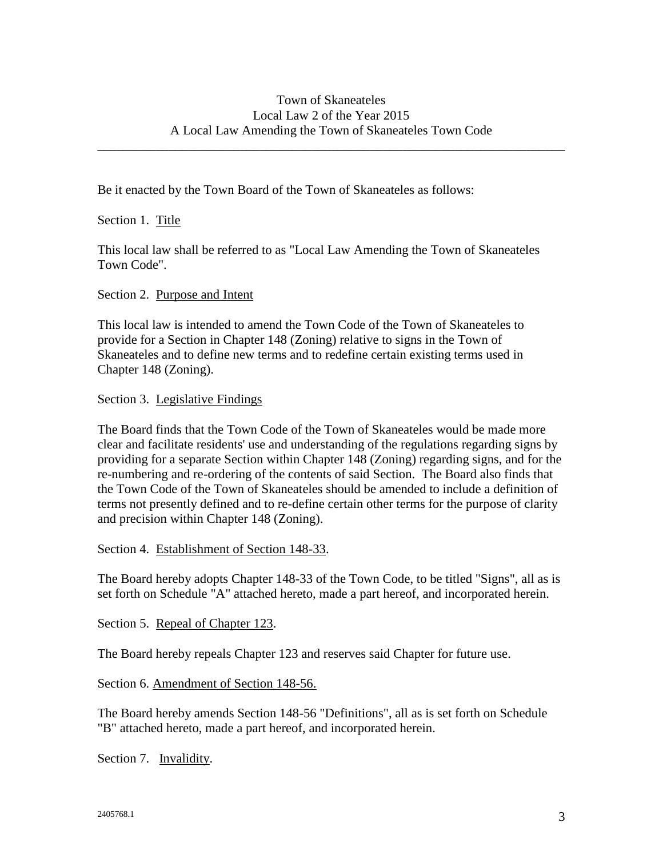\_\_\_\_\_\_\_\_\_\_\_\_\_\_\_\_\_\_\_\_\_\_\_\_\_\_\_\_\_\_\_\_\_\_\_\_\_\_\_\_\_\_\_\_\_\_\_\_\_\_\_\_\_\_\_\_\_\_\_\_\_\_\_\_\_\_\_\_\_\_\_\_

Be it enacted by the Town Board of the Town of Skaneateles as follows:

Section 1. Title

This local law shall be referred to as "Local Law Amending the Town of Skaneateles Town Code".

Section 2. Purpose and Intent

This local law is intended to amend the Town Code of the Town of Skaneateles to provide for a Section in Chapter 148 (Zoning) relative to signs in the Town of Skaneateles and to define new terms and to redefine certain existing terms used in Chapter 148 (Zoning).

Section 3. Legislative Findings

The Board finds that the Town Code of the Town of Skaneateles would be made more clear and facilitate residents' use and understanding of the regulations regarding signs by providing for a separate Section within Chapter 148 (Zoning) regarding signs, and for the re-numbering and re-ordering of the contents of said Section. The Board also finds that the Town Code of the Town of Skaneateles should be amended to include a definition of terms not presently defined and to re-define certain other terms for the purpose of clarity and precision within Chapter 148 (Zoning).

Section 4. Establishment of Section 148-33.

The Board hereby adopts Chapter 148-33 of the Town Code, to be titled "Signs", all as is set forth on Schedule "A" attached hereto, made a part hereof, and incorporated herein.

Section 5. Repeal of Chapter 123.

The Board hereby repeals Chapter 123 and reserves said Chapter for future use.

Section 6. Amendment of Section 148-56.

The Board hereby amends Section 148-56 "Definitions", all as is set forth on Schedule "B" attached hereto, made a part hereof, and incorporated herein.

Section 7. Invalidity.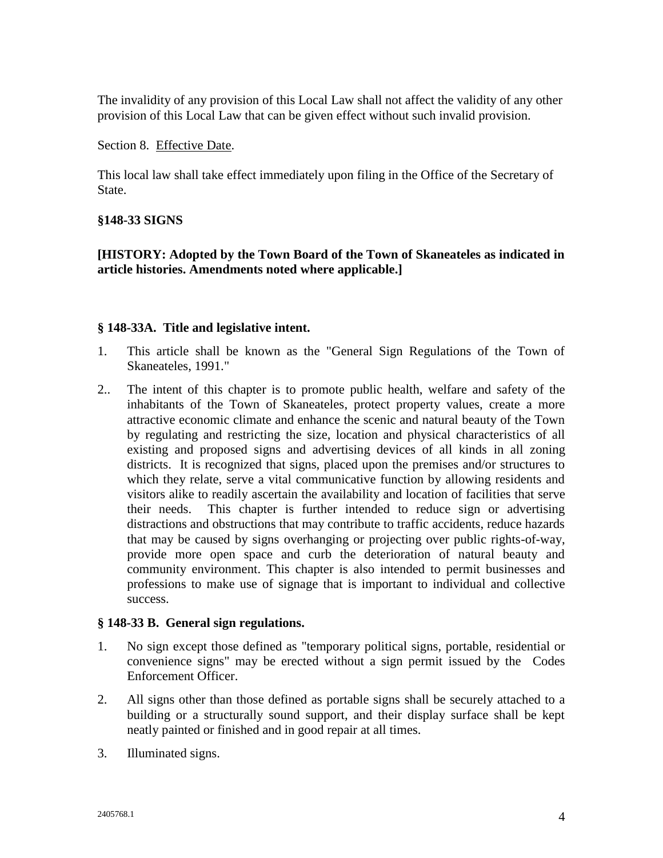The invalidity of any provision of this Local Law shall not affect the validity of any other provision of this Local Law that can be given effect without such invalid provision.

Section 8. Effective Date.

This local law shall take effect immediately upon filing in the Office of the Secretary of State.

#### **§148-33 SIGNS**

**[HISTORY: Adopted by the Town Board of the Town of Skaneateles as indicated in article histories. Amendments noted where applicable.]**

#### **§ 148-33A. Title and legislative intent.**

- 1. This article shall be known as the "General Sign Regulations of the Town of Skaneateles, 1991."
- 2.. The intent of this chapter is to promote public health, welfare and safety of the inhabitants of the Town of Skaneateles, protect property values, create a more attractive economic climate and enhance the scenic and natural beauty of the Town by regulating and restricting the size, location and physical characteristics of all existing and proposed signs and advertising devices of all kinds in all zoning districts. It is recognized that signs, placed upon the premises and/or structures to which they relate, serve a vital communicative function by allowing residents and visitors alike to readily ascertain the availability and location of facilities that serve their needs. This chapter is further intended to reduce sign or advertising distractions and obstructions that may contribute to traffic accidents, reduce hazards that may be caused by signs overhanging or projecting over public rights-of-way, provide more open space and curb the deterioration of natural beauty and community environment. This chapter is also intended to permit businesses and professions to make use of signage that is important to individual and collective success.

#### **§ 148-33 B. General sign regulations.**

- 1. No sign except those defined as "temporary political signs, portable, residential or convenience signs" may be erected without a sign permit issued by the Codes Enforcement Officer.
- 2. All signs other than those defined as portable signs shall be securely attached to a building or a structurally sound support, and their display surface shall be kept neatly painted or finished and in good repair at all times.
- 3. Illuminated signs.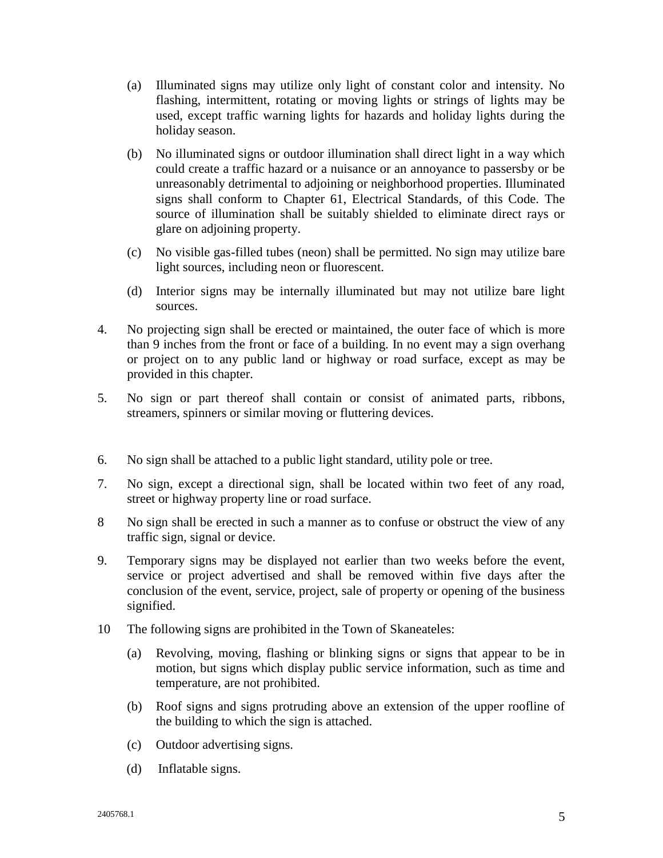- (a) Illuminated signs may utilize only light of constant color and intensity. No flashing, intermittent, rotating or moving lights or strings of lights may be used, except traffic warning lights for hazards and holiday lights during the holiday season.
- (b) No illuminated signs or outdoor illumination shall direct light in a way which could create a traffic hazard or a nuisance or an annoyance to passersby or be unreasonably detrimental to adjoining or neighborhood properties. Illuminated signs shall conform to Chapter 61, Electrical Standards, of this Code. The source of illumination shall be suitably shielded to eliminate direct rays or glare on adjoining property.
- (c) No visible gas-filled tubes (neon) shall be permitted. No sign may utilize bare light sources, including neon or fluorescent.
- (d) Interior signs may be internally illuminated but may not utilize bare light sources.
- 4. No projecting sign shall be erected or maintained, the outer face of which is more than 9 inches from the front or face of a building. In no event may a sign overhang or project on to any public land or highway or road surface, except as may be provided in this chapter.
- 5. No sign or part thereof shall contain or consist of animated parts, ribbons, streamers, spinners or similar moving or fluttering devices.
- 6. No sign shall be attached to a public light standard, utility pole or tree.
- 7. No sign, except a directional sign, shall be located within two feet of any road, street or highway property line or road surface.
- 8 No sign shall be erected in such a manner as to confuse or obstruct the view of any traffic sign, signal or device.
- 9. Temporary signs may be displayed not earlier than two weeks before the event, service or project advertised and shall be removed within five days after the conclusion of the event, service, project, sale of property or opening of the business signified.
- 10 The following signs are prohibited in the Town of Skaneateles:
	- (a) Revolving, moving, flashing or blinking signs or signs that appear to be in motion, but signs which display public service information, such as time and temperature, are not prohibited.
	- (b) Roof signs and signs protruding above an extension of the upper roofline of the building to which the sign is attached.
	- (c) Outdoor advertising signs.
	- (d) Inflatable signs.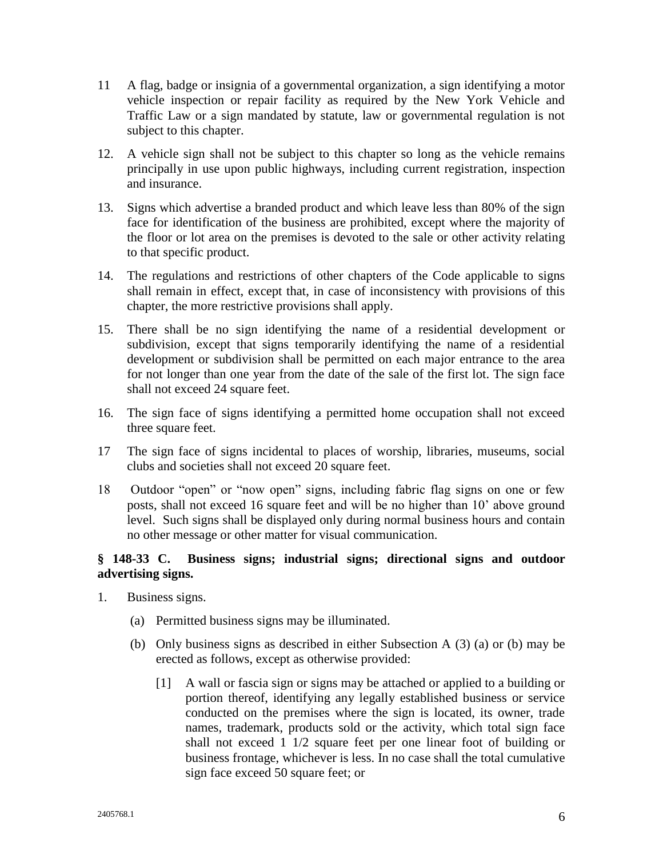- 11 A flag, badge or insignia of a governmental organization, a sign identifying a motor vehicle inspection or repair facility as required by the New York Vehicle and Traffic Law or a sign mandated by statute, law or governmental regulation is not subject to this chapter.
- 12. A vehicle sign shall not be subject to this chapter so long as the vehicle remains principally in use upon public highways, including current registration, inspection and insurance.
- 13. Signs which advertise a branded product and which leave less than 80% of the sign face for identification of the business are prohibited, except where the majority of the floor or lot area on the premises is devoted to the sale or other activity relating to that specific product.
- 14. The regulations and restrictions of other chapters of the Code applicable to signs shall remain in effect, except that, in case of inconsistency with provisions of this chapter, the more restrictive provisions shall apply.
- 15. There shall be no sign identifying the name of a residential development or subdivision, except that signs temporarily identifying the name of a residential development or subdivision shall be permitted on each major entrance to the area for not longer than one year from the date of the sale of the first lot. The sign face shall not exceed 24 square feet.
- 16. The sign face of signs identifying a permitted home occupation shall not exceed three square feet.
- 17 The sign face of signs incidental to places of worship, libraries, museums, social clubs and societies shall not exceed 20 square feet.
- 18 Outdoor "open" or "now open" signs, including fabric flag signs on one or few posts, shall not exceed 16 square feet and will be no higher than 10' above ground level. Such signs shall be displayed only during normal business hours and contain no other message or other matter for visual communication.

### **§ 148-33 C. Business signs; industrial signs; directional signs and outdoor advertising signs.**

- 1. Business signs.
	- (a) Permitted business signs may be illuminated.
	- (b) Only business signs as described in either Subsection A (3) (a) or (b) may be erected as follows, except as otherwise provided:
		- [1] A wall or fascia sign or signs may be attached or applied to a building or portion thereof, identifying any legally established business or service conducted on the premises where the sign is located, its owner, trade names, trademark, products sold or the activity, which total sign face shall not exceed 1 1/2 square feet per one linear foot of building or business frontage, whichever is less. In no case shall the total cumulative sign face exceed 50 square feet; or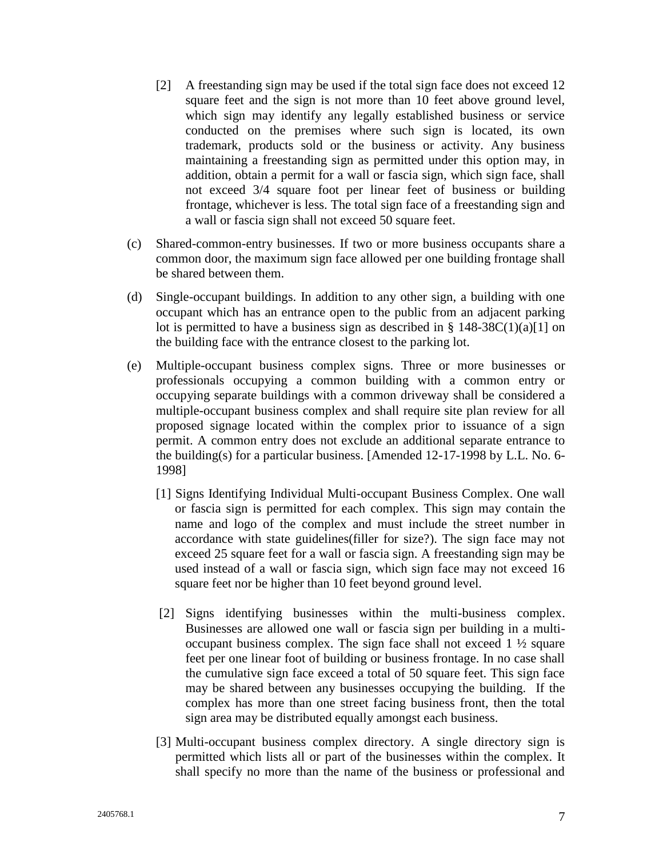- [2] A freestanding sign may be used if the total sign face does not exceed 12 square feet and the sign is not more than 10 feet above ground level, which sign may identify any legally established business or service conducted on the premises where such sign is located, its own trademark, products sold or the business or activity. Any business maintaining a freestanding sign as permitted under this option may, in addition, obtain a permit for a wall or fascia sign, which sign face, shall not exceed 3/4 square foot per linear feet of business or building frontage, whichever is less. The total sign face of a freestanding sign and a wall or fascia sign shall not exceed 50 square feet.
- (c) Shared-common-entry businesses. If two or more business occupants share a common door, the maximum sign face allowed per one building frontage shall be shared between them.
- (d) Single-occupant buildings. In addition to any other sign, a building with one occupant which has an entrance open to the public from an adjacent parking lot is permitted to have a business sign as described in  $\S 148-38C(1)(a)[1]$  on the building face with the entrance closest to the parking lot.
- (e) Multiple-occupant business complex signs. Three or more businesses or professionals occupying a common building with a common entry or occupying separate buildings with a common driveway shall be considered a multiple-occupant business complex and shall require site plan review for all proposed signage located within the complex prior to issuance of a sign permit. A common entry does not exclude an additional separate entrance to the building(s) for a particular business. [Amended 12-17-1998 by L.L. No. 6- 1998]
	- [1] Signs Identifying Individual Multi-occupant Business Complex. One wall or fascia sign is permitted for each complex. This sign may contain the name and logo of the complex and must include the street number in accordance with state guidelines(filler for size?). The sign face may not exceed 25 square feet for a wall or fascia sign. A freestanding sign may be used instead of a wall or fascia sign, which sign face may not exceed 16 square feet nor be higher than 10 feet beyond ground level.
	- [2] Signs identifying businesses within the multi-business complex. Businesses are allowed one wall or fascia sign per building in a multioccupant business complex. The sign face shall not exceed 1 ½ square feet per one linear foot of building or business frontage. In no case shall the cumulative sign face exceed a total of 50 square feet. This sign face may be shared between any businesses occupying the building. If the complex has more than one street facing business front, then the total sign area may be distributed equally amongst each business.
	- [3] Multi-occupant business complex directory. A single directory sign is permitted which lists all or part of the businesses within the complex. It shall specify no more than the name of the business or professional and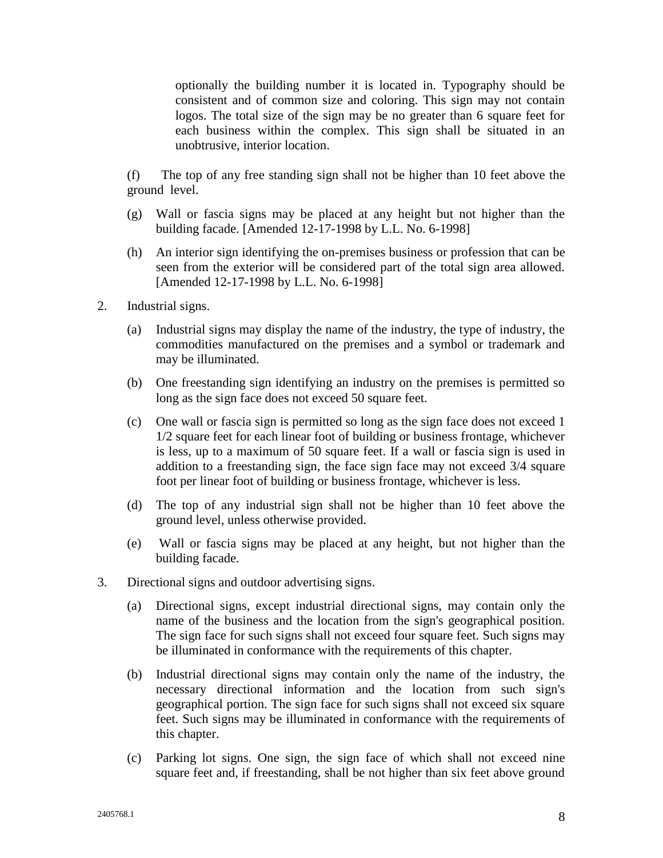optionally the building number it is located in. Typography should be consistent and of common size and coloring. This sign may not contain logos. The total size of the sign may be no greater than 6 square feet for each business within the complex. This sign shall be situated in an unobtrusive, interior location.

(f) The top of any free standing sign shall not be higher than 10 feet above the ground level.

- (g) Wall or fascia signs may be placed at any height but not higher than the building facade. [Amended 12-17-1998 by L.L. No. 6-1998]
- (h) An interior sign identifying the on-premises business or profession that can be seen from the exterior will be considered part of the total sign area allowed. [Amended 12-17-1998 by L.L. No. 6-1998]
- 2. Industrial signs.
	- (a) Industrial signs may display the name of the industry, the type of industry, the commodities manufactured on the premises and a symbol or trademark and may be illuminated.
	- (b) One freestanding sign identifying an industry on the premises is permitted so long as the sign face does not exceed 50 square feet.
	- (c) One wall or fascia sign is permitted so long as the sign face does not exceed 1 1/2 square feet for each linear foot of building or business frontage, whichever is less, up to a maximum of 50 square feet. If a wall or fascia sign is used in addition to a freestanding sign, the face sign face may not exceed 3/4 square foot per linear foot of building or business frontage, whichever is less.
	- (d) The top of any industrial sign shall not be higher than 10 feet above the ground level, unless otherwise provided.
	- (e) Wall or fascia signs may be placed at any height, but not higher than the building facade.
- 3. Directional signs and outdoor advertising signs.
	- (a) Directional signs, except industrial directional signs, may contain only the name of the business and the location from the sign's geographical position. The sign face for such signs shall not exceed four square feet. Such signs may be illuminated in conformance with the requirements of this chapter.
	- (b) Industrial directional signs may contain only the name of the industry, the necessary directional information and the location from such sign's geographical portion. The sign face for such signs shall not exceed six square feet. Such signs may be illuminated in conformance with the requirements of this chapter.
	- (c) Parking lot signs. One sign, the sign face of which shall not exceed nine square feet and, if freestanding, shall be not higher than six feet above ground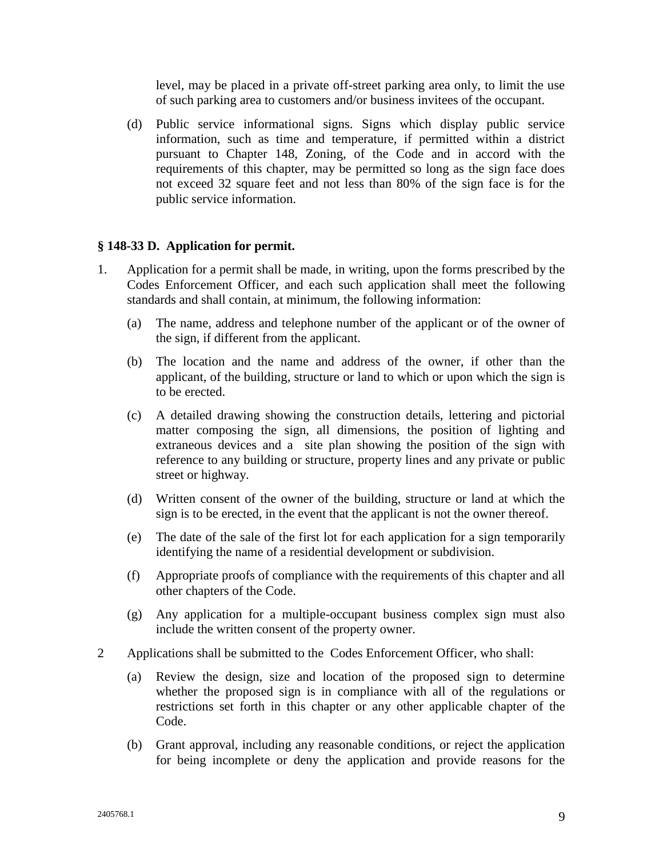level, may be placed in a private off-street parking area only, to limit the use of such parking area to customers and/or business invitees of the occupant.

(d) Public service informational signs. Signs which display public service information, such as time and temperature, if permitted within a district pursuant to Chapter 148, Zoning, of the Code and in accord with the requirements of this chapter, may be permitted so long as the sign face does not exceed 32 square feet and not less than 80% of the sign face is for the public service information.

#### **§ 148-33 D. Application for permit.**

- 1. Application for a permit shall be made, in writing, upon the forms prescribed by the Codes Enforcement Officer, and each such application shall meet the following standards and shall contain, at minimum, the following information:
	- (a) The name, address and telephone number of the applicant or of the owner of the sign, if different from the applicant.
	- (b) The location and the name and address of the owner, if other than the applicant, of the building, structure or land to which or upon which the sign is to be erected.
	- (c) A detailed drawing showing the construction details, lettering and pictorial matter composing the sign, all dimensions, the position of lighting and extraneous devices and a site plan showing the position of the sign with reference to any building or structure, property lines and any private or public street or highway.
	- (d) Written consent of the owner of the building, structure or land at which the sign is to be erected, in the event that the applicant is not the owner thereof.
	- (e) The date of the sale of the first lot for each application for a sign temporarily identifying the name of a residential development or subdivision.
	- (f) Appropriate proofs of compliance with the requirements of this chapter and all other chapters of the Code.
	- (g) Any application for a multiple-occupant business complex sign must also include the written consent of the property owner.
- 2 Applications shall be submitted to the Codes Enforcement Officer, who shall:
	- (a) Review the design, size and location of the proposed sign to determine whether the proposed sign is in compliance with all of the regulations or restrictions set forth in this chapter or any other applicable chapter of the Code.
	- (b) Grant approval, including any reasonable conditions, or reject the application for being incomplete or deny the application and provide reasons for the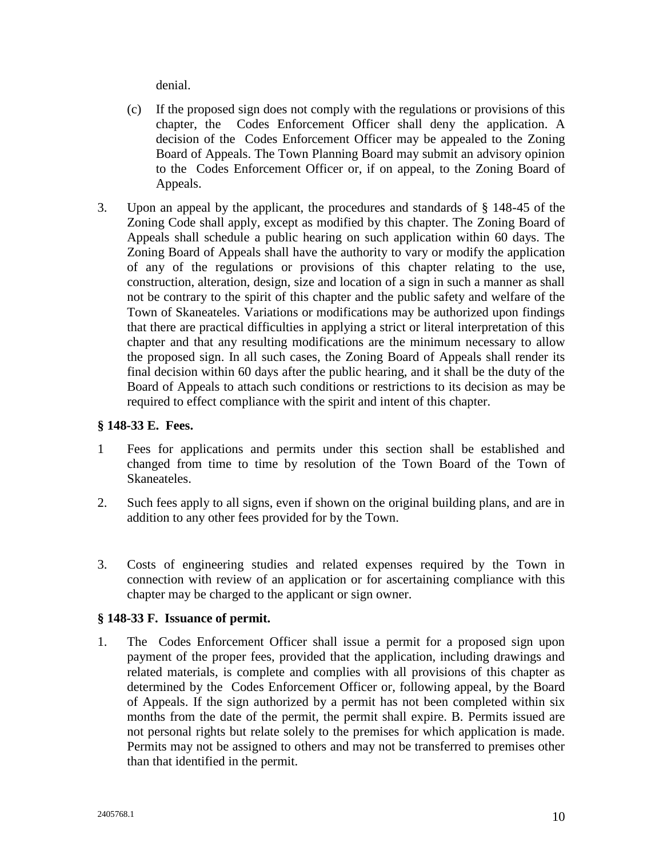denial.

- (c) If the proposed sign does not comply with the regulations or provisions of this chapter, the Codes Enforcement Officer shall deny the application. A decision of the Codes Enforcement Officer may be appealed to the Zoning Board of Appeals. The Town Planning Board may submit an advisory opinion to the Codes Enforcement Officer or, if on appeal, to the Zoning Board of Appeals.
- 3. Upon an appeal by the applicant, the procedures and standards of § 148-45 of the Zoning Code shall apply, except as modified by this chapter. The Zoning Board of Appeals shall schedule a public hearing on such application within 60 days. The Zoning Board of Appeals shall have the authority to vary or modify the application of any of the regulations or provisions of this chapter relating to the use, construction, alteration, design, size and location of a sign in such a manner as shall not be contrary to the spirit of this chapter and the public safety and welfare of the Town of Skaneateles. Variations or modifications may be authorized upon findings that there are practical difficulties in applying a strict or literal interpretation of this chapter and that any resulting modifications are the minimum necessary to allow the proposed sign. In all such cases, the Zoning Board of Appeals shall render its final decision within 60 days after the public hearing, and it shall be the duty of the Board of Appeals to attach such conditions or restrictions to its decision as may be required to effect compliance with the spirit and intent of this chapter.

#### **§ 148-33 E. Fees.**

- 1 Fees for applications and permits under this section shall be established and changed from time to time by resolution of the Town Board of the Town of Skaneateles.
- 2. Such fees apply to all signs, even if shown on the original building plans, and are in addition to any other fees provided for by the Town.
- 3. Costs of engineering studies and related expenses required by the Town in connection with review of an application or for ascertaining compliance with this chapter may be charged to the applicant or sign owner.

#### **§ 148-33 F. Issuance of permit.**

1. The Codes Enforcement Officer shall issue a permit for a proposed sign upon payment of the proper fees, provided that the application, including drawings and related materials, is complete and complies with all provisions of this chapter as determined by the Codes Enforcement Officer or, following appeal, by the Board of Appeals. If the sign authorized by a permit has not been completed within six months from the date of the permit, the permit shall expire. B. Permits issued are not personal rights but relate solely to the premises for which application is made. Permits may not be assigned to others and may not be transferred to premises other than that identified in the permit.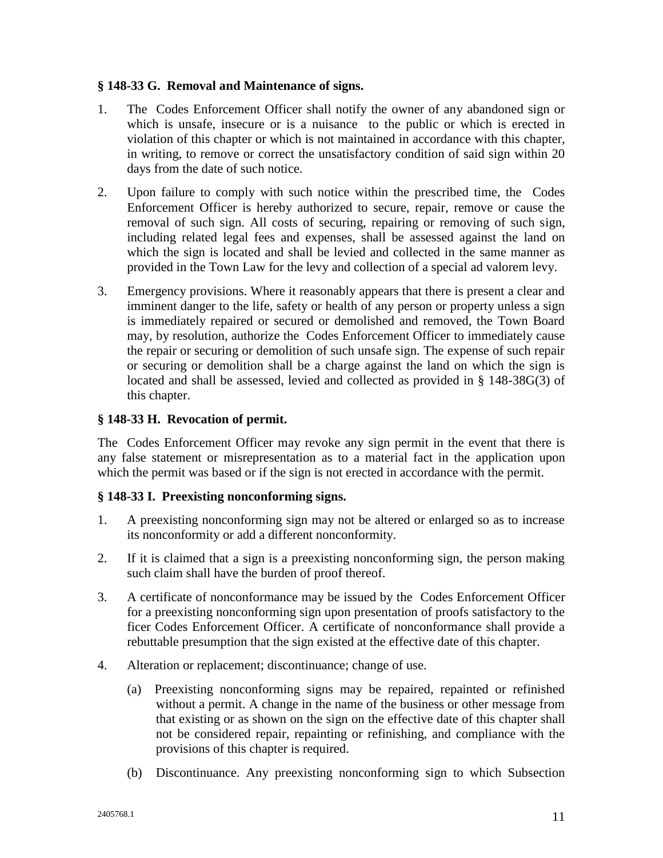#### **§ 148-33 G. Removal and Maintenance of signs.**

- 1. The Codes Enforcement Officer shall notify the owner of any abandoned sign or which is unsafe, insecure or is a nuisance to the public or which is erected in violation of this chapter or which is not maintained in accordance with this chapter, in writing, to remove or correct the unsatisfactory condition of said sign within 20 days from the date of such notice.
- 2. Upon failure to comply with such notice within the prescribed time, the Codes Enforcement Officer is hereby authorized to secure, repair, remove or cause the removal of such sign. All costs of securing, repairing or removing of such sign, including related legal fees and expenses, shall be assessed against the land on which the sign is located and shall be levied and collected in the same manner as provided in the Town Law for the levy and collection of a special ad valorem levy.
- 3. Emergency provisions. Where it reasonably appears that there is present a clear and imminent danger to the life, safety or health of any person or property unless a sign is immediately repaired or secured or demolished and removed, the Town Board may, by resolution, authorize the Codes Enforcement Officer to immediately cause the repair or securing or demolition of such unsafe sign. The expense of such repair or securing or demolition shall be a charge against the land on which the sign is located and shall be assessed, levied and collected as provided in § 148-38G(3) of this chapter.

### **§ 148-33 H. Revocation of permit.**

The Codes Enforcement Officer may revoke any sign permit in the event that there is any false statement or misrepresentation as to a material fact in the application upon which the permit was based or if the sign is not erected in accordance with the permit.

#### **§ 148-33 I. Preexisting nonconforming signs.**

- 1. A preexisting nonconforming sign may not be altered or enlarged so as to increase its nonconformity or add a different nonconformity.
- 2. If it is claimed that a sign is a preexisting nonconforming sign, the person making such claim shall have the burden of proof thereof.
- 3. A certificate of nonconformance may be issued by the Codes Enforcement Officer for a preexisting nonconforming sign upon presentation of proofs satisfactory to the ficer Codes Enforcement Officer. A certificate of nonconformance shall provide a rebuttable presumption that the sign existed at the effective date of this chapter.
- 4. Alteration or replacement; discontinuance; change of use.
	- (a) Preexisting nonconforming signs may be repaired, repainted or refinished without a permit. A change in the name of the business or other message from that existing or as shown on the sign on the effective date of this chapter shall not be considered repair, repainting or refinishing, and compliance with the provisions of this chapter is required.
	- (b) Discontinuance. Any preexisting nonconforming sign to which Subsection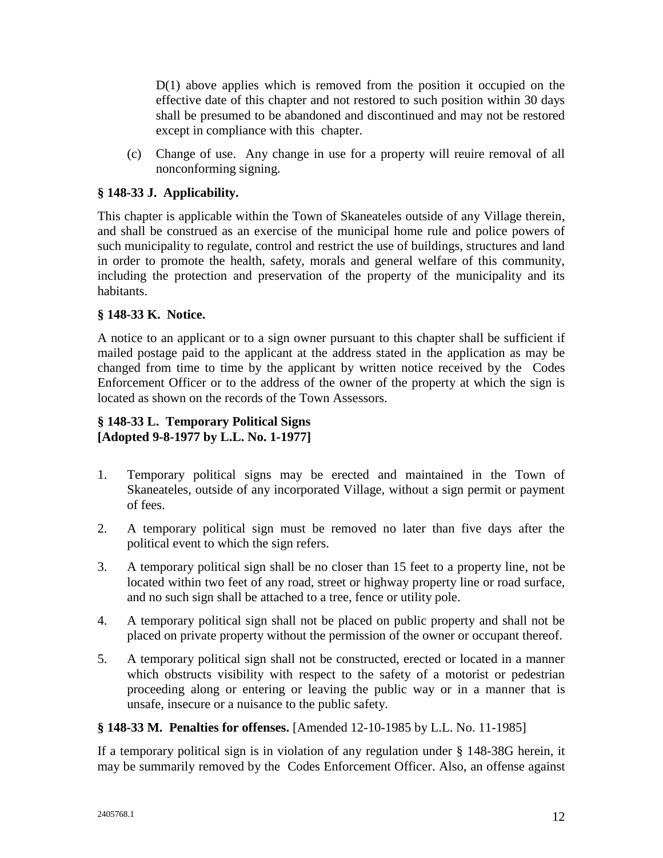$D(1)$  above applies which is removed from the position it occupied on the effective date of this chapter and not restored to such position within 30 days shall be presumed to be abandoned and discontinued and may not be restored except in compliance with this chapter.

(c) Change of use. Any change in use for a property will reuire removal of all nonconforming signing.

# **§ 148-33 J. Applicability.**

This chapter is applicable within the Town of Skaneateles outside of any Village therein, and shall be construed as an exercise of the municipal home rule and police powers of such municipality to regulate, control and restrict the use of buildings, structures and land in order to promote the health, safety, morals and general welfare of this community, including the protection and preservation of the property of the municipality and its habitants.

# **§ 148-33 K. Notice.**

A notice to an applicant or to a sign owner pursuant to this chapter shall be sufficient if mailed postage paid to the applicant at the address stated in the application as may be changed from time to time by the applicant by written notice received by the Codes Enforcement Officer or to the address of the owner of the property at which the sign is located as shown on the records of the Town Assessors.

# **§ 148-33 L. Temporary Political Signs [Adopted 9-8-1977 by L.L. No. 1-1977]**

- 1. Temporary political signs may be erected and maintained in the Town of Skaneateles, outside of any incorporated Village, without a sign permit or payment of fees.
- 2. A temporary political sign must be removed no later than five days after the political event to which the sign refers.
- 3. A temporary political sign shall be no closer than 15 feet to a property line, not be located within two feet of any road, street or highway property line or road surface, and no such sign shall be attached to a tree, fence or utility pole.
- 4. A temporary political sign shall not be placed on public property and shall not be placed on private property without the permission of the owner or occupant thereof.
- 5. A temporary political sign shall not be constructed, erected or located in a manner which obstructs visibility with respect to the safety of a motorist or pedestrian proceeding along or entering or leaving the public way or in a manner that is unsafe, insecure or a nuisance to the public safety.

# **§ 148-33 M. Penalties for offenses.** [Amended 12-10-1985 by L.L. No. 11-1985]

If a temporary political sign is in violation of any regulation under § 148-38G herein, it may be summarily removed by the Codes Enforcement Officer. Also, an offense against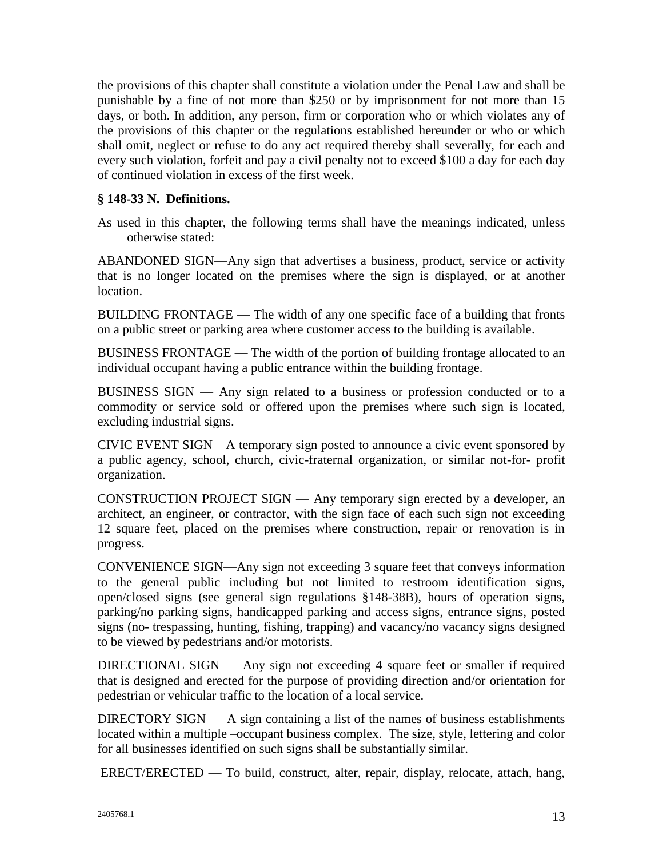the provisions of this chapter shall constitute a violation under the Penal Law and shall be punishable by a fine of not more than \$250 or by imprisonment for not more than 15 days, or both. In addition, any person, firm or corporation who or which violates any of the provisions of this chapter or the regulations established hereunder or who or which shall omit, neglect or refuse to do any act required thereby shall severally, for each and every such violation, forfeit and pay a civil penalty not to exceed \$100 a day for each day of continued violation in excess of the first week.

### **§ 148-33 N. Definitions.**

As used in this chapter, the following terms shall have the meanings indicated, unless otherwise stated:

ABANDONED SIGN—Any sign that advertises a business, product, service or activity that is no longer located on the premises where the sign is displayed, or at another location.

BUILDING FRONTAGE — The width of any one specific face of a building that fronts on a public street or parking area where customer access to the building is available.

BUSINESS FRONTAGE — The width of the portion of building frontage allocated to an individual occupant having a public entrance within the building frontage.

BUSINESS SIGN — Any sign related to a business or profession conducted or to a commodity or service sold or offered upon the premises where such sign is located, excluding industrial signs.

CIVIC EVENT SIGN—A temporary sign posted to announce a civic event sponsored by a public agency, school, church, civic-fraternal organization, or similar not-for- profit organization.

CONSTRUCTION PROJECT SIGN — Any temporary sign erected by a developer, an architect, an engineer, or contractor, with the sign face of each such sign not exceeding 12 square feet, placed on the premises where construction, repair or renovation is in progress.

CONVENIENCE SIGN—Any sign not exceeding 3 square feet that conveys information to the general public including but not limited to restroom identification signs, open/closed signs (see general sign regulations §148-38B), hours of operation signs, parking/no parking signs, handicapped parking and access signs, entrance signs, posted signs (no- trespassing, hunting, fishing, trapping) and vacancy/no vacancy signs designed to be viewed by pedestrians and/or motorists.

DIRECTIONAL SIGN — Any sign not exceeding 4 square feet or smaller if required that is designed and erected for the purpose of providing direction and/or orientation for pedestrian or vehicular traffic to the location of a local service.

DIRECTORY SIGN  $- A$  sign containing a list of the names of business establishments located within a multiple –occupant business complex. The size, style, lettering and color for all businesses identified on such signs shall be substantially similar.

ERECT/ERECTED — To build, construct, alter, repair, display, relocate, attach, hang,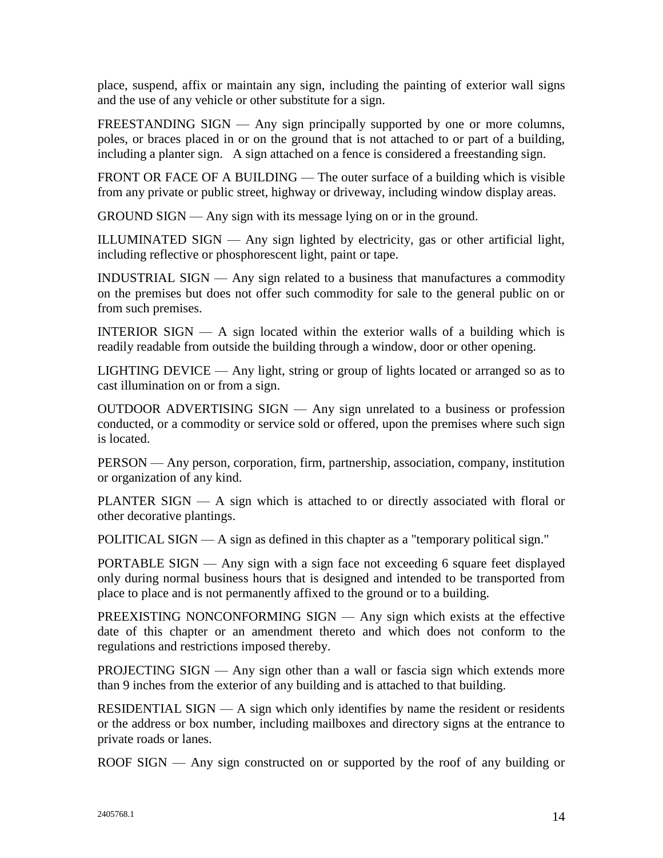place, suspend, affix or maintain any sign, including the painting of exterior wall signs and the use of any vehicle or other substitute for a sign.

FREESTANDING SIGN — Any sign principally supported by one or more columns, poles, or braces placed in or on the ground that is not attached to or part of a building, including a planter sign. A sign attached on a fence is considered a freestanding sign.

FRONT OR FACE OF A BUILDING — The outer surface of a building which is visible from any private or public street, highway or driveway, including window display areas.

GROUND SIGN — Any sign with its message lying on or in the ground.

ILLUMINATED SIGN — Any sign lighted by electricity, gas or other artificial light, including reflective or phosphorescent light, paint or tape.

INDUSTRIAL SIGN — Any sign related to a business that manufactures a commodity on the premises but does not offer such commodity for sale to the general public on or from such premises.

INTERIOR SIGN — A sign located within the exterior walls of a building which is readily readable from outside the building through a window, door or other opening.

LIGHTING DEVICE — Any light, string or group of lights located or arranged so as to cast illumination on or from a sign.

OUTDOOR ADVERTISING SIGN — Any sign unrelated to a business or profession conducted, or a commodity or service sold or offered, upon the premises where such sign is located.

PERSON — Any person, corporation, firm, partnership, association, company, institution or organization of any kind.

PLANTER SIGN — A sign which is attached to or directly associated with floral or other decorative plantings.

POLITICAL SIGN — A sign as defined in this chapter as a "temporary political sign."

PORTABLE SIGN — Any sign with a sign face not exceeding 6 square feet displayed only during normal business hours that is designed and intended to be transported from place to place and is not permanently affixed to the ground or to a building.

PREEXISTING NONCONFORMING SIGN — Any sign which exists at the effective date of this chapter or an amendment thereto and which does not conform to the regulations and restrictions imposed thereby.

PROJECTING SIGN — Any sign other than a wall or fascia sign which extends more than 9 inches from the exterior of any building and is attached to that building.

RESIDENTIAL SIGN — A sign which only identifies by name the resident or residents or the address or box number, including mailboxes and directory signs at the entrance to private roads or lanes.

ROOF SIGN — Any sign constructed on or supported by the roof of any building or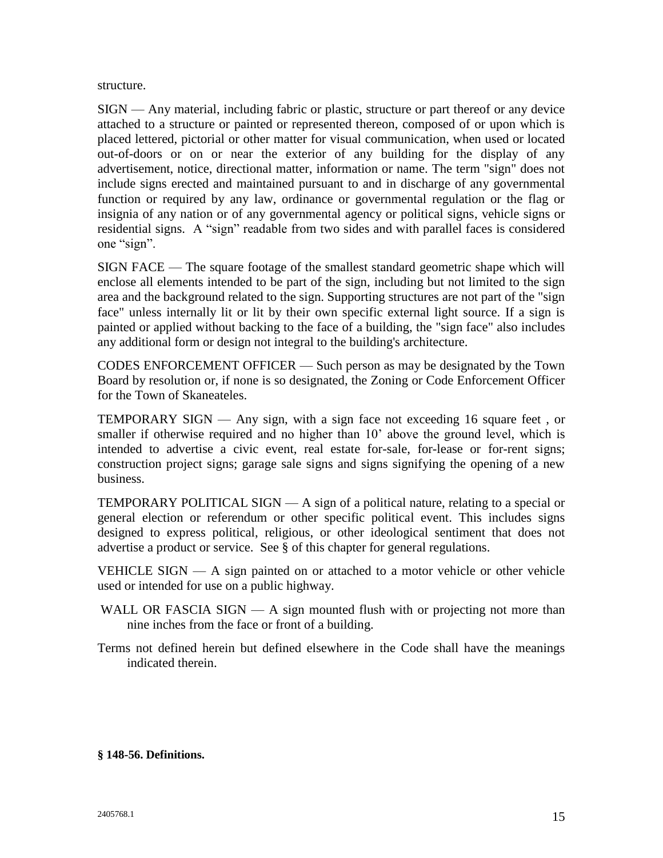structure.

SIGN — Any material, including fabric or plastic, structure or part thereof or any device attached to a structure or painted or represented thereon, composed of or upon which is placed lettered, pictorial or other matter for visual communication, when used or located out-of-doors or on or near the exterior of any building for the display of any advertisement, notice, directional matter, information or name. The term "sign" does not include signs erected and maintained pursuant to and in discharge of any governmental function or required by any law, ordinance or governmental regulation or the flag or insignia of any nation or of any governmental agency or political signs, vehicle signs or residential signs. A "sign" readable from two sides and with parallel faces is considered one "sign".

SIGN FACE — The square footage of the smallest standard geometric shape which will enclose all elements intended to be part of the sign, including but not limited to the sign area and the background related to the sign. Supporting structures are not part of the "sign face" unless internally lit or lit by their own specific external light source. If a sign is painted or applied without backing to the face of a building, the "sign face" also includes any additional form or design not integral to the building's architecture.

CODES ENFORCEMENT OFFICER — Such person as may be designated by the Town Board by resolution or, if none is so designated, the Zoning or Code Enforcement Officer for the Town of Skaneateles.

TEMPORARY SIGN — Any sign, with a sign face not exceeding 16 square feet , or smaller if otherwise required and no higher than 10' above the ground level, which is intended to advertise a civic event, real estate for-sale, for-lease or for-rent signs; construction project signs; garage sale signs and signs signifying the opening of a new business.

TEMPORARY POLITICAL SIGN — A sign of a political nature, relating to a special or general election or referendum or other specific political event. This includes signs designed to express political, religious, or other ideological sentiment that does not advertise a product or service. See § of this chapter for general regulations.

VEHICLE SIGN — A sign painted on or attached to a motor vehicle or other vehicle used or intended for use on a public highway.

- WALL OR FASCIA  $SIGN A$  sign mounted flush with or projecting not more than nine inches from the face or front of a building.
- Terms not defined herein but defined elsewhere in the Code shall have the meanings indicated therein.

#### **§ 148-56. Definitions.**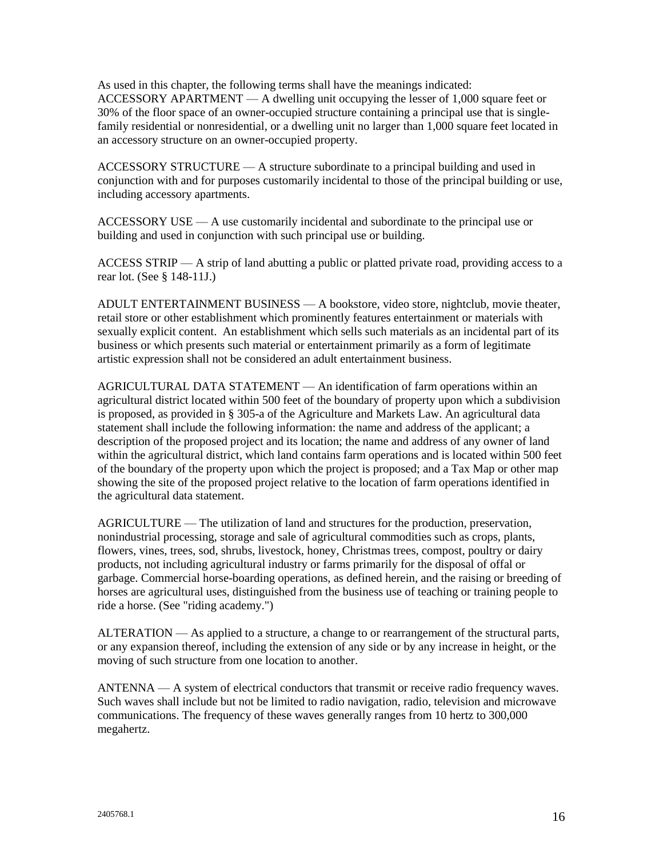As used in this chapter, the following terms shall have the meanings indicated: ACCESSORY APARTMENT  $- A$  dwelling unit occupying the lesser of 1,000 square feet or 30% of the floor space of an owner-occupied structure containing a principal use that is singlefamily residential or nonresidential, or a dwelling unit no larger than 1,000 square feet located in an accessory structure on an owner-occupied property.

ACCESSORY STRUCTURE — A structure subordinate to a principal building and used in conjunction with and for purposes customarily incidental to those of the principal building or use, including accessory apartments.

ACCESSORY USE — A use customarily incidental and subordinate to the principal use or building and used in conjunction with such principal use or building.

ACCESS STRIP — A strip of land abutting a public or platted private road, providing access to a rear lot. (See § 148-11J.)

ADULT ENTERTAINMENT BUSINESS — A bookstore, video store, nightclub, movie theater, retail store or other establishment which prominently features entertainment or materials with sexually explicit content. An establishment which sells such materials as an incidental part of its business or which presents such material or entertainment primarily as a form of legitimate artistic expression shall not be considered an adult entertainment business.

AGRICULTURAL DATA STATEMENT — An identification of farm operations within an agricultural district located within 500 feet of the boundary of property upon which a subdivision is proposed, as provided in § 305-a of the Agriculture and Markets Law. An agricultural data statement shall include the following information: the name and address of the applicant; a description of the proposed project and its location; the name and address of any owner of land within the agricultural district, which land contains farm operations and is located within 500 feet of the boundary of the property upon which the project is proposed; and a Tax Map or other map showing the site of the proposed project relative to the location of farm operations identified in the agricultural data statement.

AGRICULTURE — The utilization of land and structures for the production, preservation, nonindustrial processing, storage and sale of agricultural commodities such as crops, plants, flowers, vines, trees, sod, shrubs, livestock, honey, Christmas trees, compost, poultry or dairy products, not including agricultural industry or farms primarily for the disposal of offal or garbage. Commercial horse-boarding operations, as defined herein, and the raising or breeding of horses are agricultural uses, distinguished from the business use of teaching or training people to ride a horse. (See "riding academy.")

ALTERATION — As applied to a structure, a change to or rearrangement of the structural parts, or any expansion thereof, including the extension of any side or by any increase in height, or the moving of such structure from one location to another.

ANTENNA — A system of electrical conductors that transmit or receive radio frequency waves. Such waves shall include but not be limited to radio navigation, radio, television and microwave communications. The frequency of these waves generally ranges from 10 hertz to 300,000 megahertz.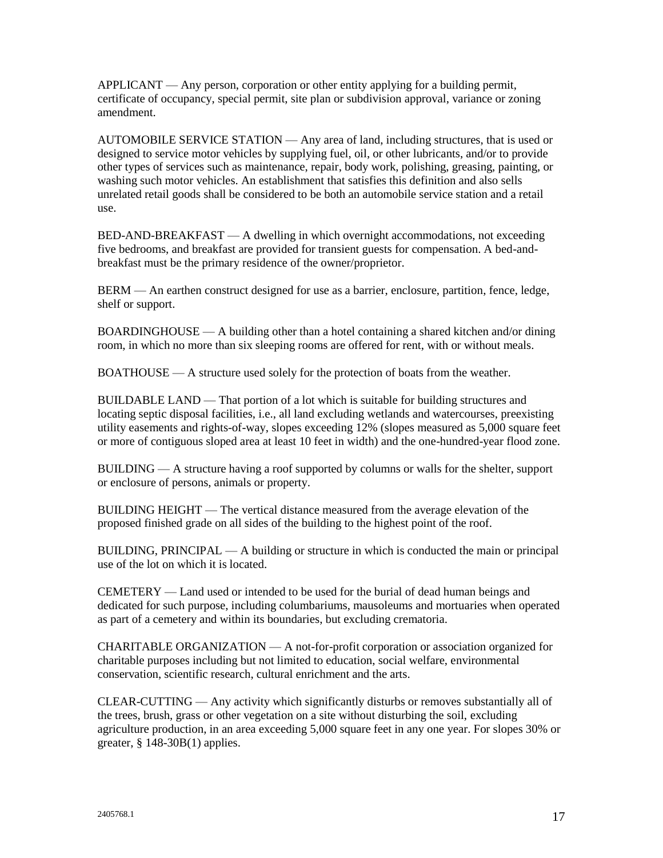$APPLICANT — Any person, corporation or other entity applying for a building permit,$ certificate of occupancy, special permit, site plan or subdivision approval, variance or zoning amendment.

AUTOMOBILE SERVICE STATION — Any area of land, including structures, that is used or designed to service motor vehicles by supplying fuel, oil, or other lubricants, and/or to provide other types of services such as maintenance, repair, body work, polishing, greasing, painting, or washing such motor vehicles. An establishment that satisfies this definition and also sells unrelated retail goods shall be considered to be both an automobile service station and a retail use.

BED-AND-BREAKFAST — A dwelling in which overnight accommodations, not exceeding five bedrooms, and breakfast are provided for transient guests for compensation. A bed-andbreakfast must be the primary residence of the owner/proprietor.

BERM — An earthen construct designed for use as a barrier, enclosure, partition, fence, ledge, shelf or support.

BOARDINGHOUSE — A building other than a hotel containing a shared kitchen and/or dining room, in which no more than six sleeping rooms are offered for rent, with or without meals.

BOATHOUSE — A structure used solely for the protection of boats from the weather.

BUILDABLE LAND — That portion of a lot which is suitable for building structures and locating septic disposal facilities, i.e., all land excluding wetlands and watercourses, preexisting utility easements and rights-of-way, slopes exceeding 12% (slopes measured as 5,000 square feet or more of contiguous sloped area at least 10 feet in width) and the one-hundred-year flood zone.

BUILDING — A structure having a roof supported by columns or walls for the shelter, support or enclosure of persons, animals or property.

BUILDING HEIGHT — The vertical distance measured from the average elevation of the proposed finished grade on all sides of the building to the highest point of the roof.

BUILDING, PRINCIPAL — A building or structure in which is conducted the main or principal use of the lot on which it is located.

CEMETERY — Land used or intended to be used for the burial of dead human beings and dedicated for such purpose, including columbariums, mausoleums and mortuaries when operated as part of a cemetery and within its boundaries, but excluding crematoria.

CHARITABLE ORGANIZATION — A not-for-profit corporation or association organized for charitable purposes including but not limited to education, social welfare, environmental conservation, scientific research, cultural enrichment and the arts.

CLEAR-CUTTING — Any activity which significantly disturbs or removes substantially all of the trees, brush, grass or other vegetation on a site without disturbing the soil, excluding agriculture production, in an area exceeding 5,000 square feet in any one year. For slopes 30% or greater, § 148-30B(1) applies.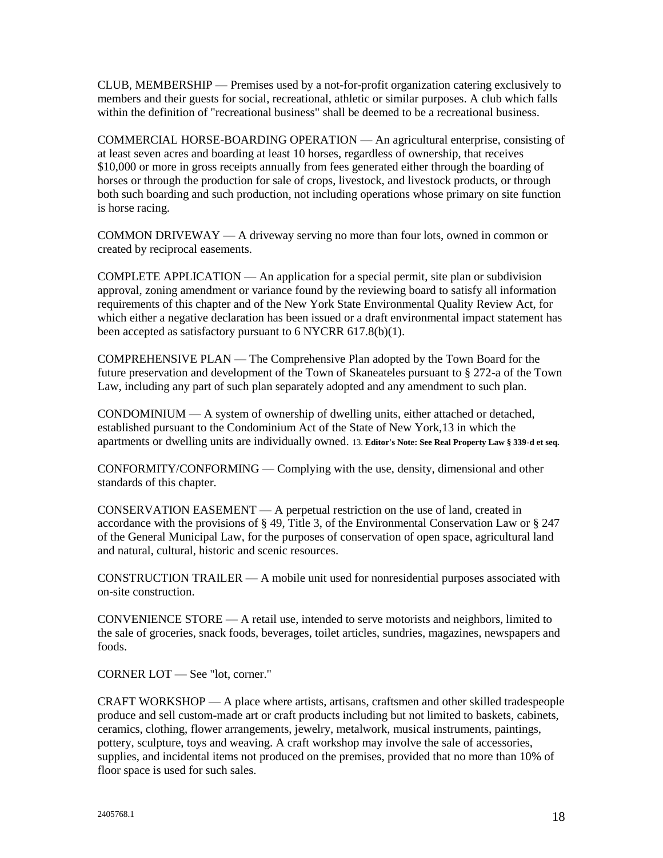CLUB, MEMBERSHIP — Premises used by a not-for-profit organization catering exclusively to members and their guests for social, recreational, athletic or similar purposes. A club which falls within the definition of "recreational business" shall be deemed to be a recreational business.

COMMERCIAL HORSE-BOARDING OPERATION — An agricultural enterprise, consisting of at least seven acres and boarding at least 10 horses, regardless of ownership, that receives \$10,000 or more in gross receipts annually from fees generated either through the boarding of horses or through the production for sale of crops, livestock, and livestock products, or through both such boarding and such production, not including operations whose primary on site function is horse racing.

COMMON DRIVEWAY — A driveway serving no more than four lots, owned in common or created by reciprocal easements.

COMPLETE APPLICATION — An application for a special permit, site plan or subdivision approval, zoning amendment or variance found by the reviewing board to satisfy all information requirements of this chapter and of the New York State Environmental Quality Review Act, for which either a negative declaration has been issued or a draft environmental impact statement has been accepted as satisfactory pursuant to 6 NYCRR 617.8(b)(1).

COMPREHENSIVE PLAN — The Comprehensive Plan adopted by the Town Board for the future preservation and development of the Town of Skaneateles pursuant to § 272-a of the Town Law, including any part of such plan separately adopted and any amendment to such plan.

CONDOMINIUM  $-A$  system of ownership of dwelling units, either attached or detached, established pursuant to the Condominium Act of the State of New York,13 in which the apartments or dwelling units are individually owned. 13. **Editor's Note: See Real Property Law § 339-d et seq.**

CONFORMITY/CONFORMING — Complying with the use, density, dimensional and other standards of this chapter.

CONSERVATION EASEMENT — A perpetual restriction on the use of land, created in accordance with the provisions of § 49, Title 3, of the Environmental Conservation Law or § 247 of the General Municipal Law, for the purposes of conservation of open space, agricultural land and natural, cultural, historic and scenic resources.

CONSTRUCTION TRAILER — A mobile unit used for nonresidential purposes associated with on-site construction.

CONVENIENCE STORE — A retail use, intended to serve motorists and neighbors, limited to the sale of groceries, snack foods, beverages, toilet articles, sundries, magazines, newspapers and foods.

CORNER LOT — See "lot, corner."

CRAFT WORKSHOP — A place where artists, artisans, craftsmen and other skilled tradespeople produce and sell custom-made art or craft products including but not limited to baskets, cabinets, ceramics, clothing, flower arrangements, jewelry, metalwork, musical instruments, paintings, pottery, sculpture, toys and weaving. A craft workshop may involve the sale of accessories, supplies, and incidental items not produced on the premises, provided that no more than 10% of floor space is used for such sales.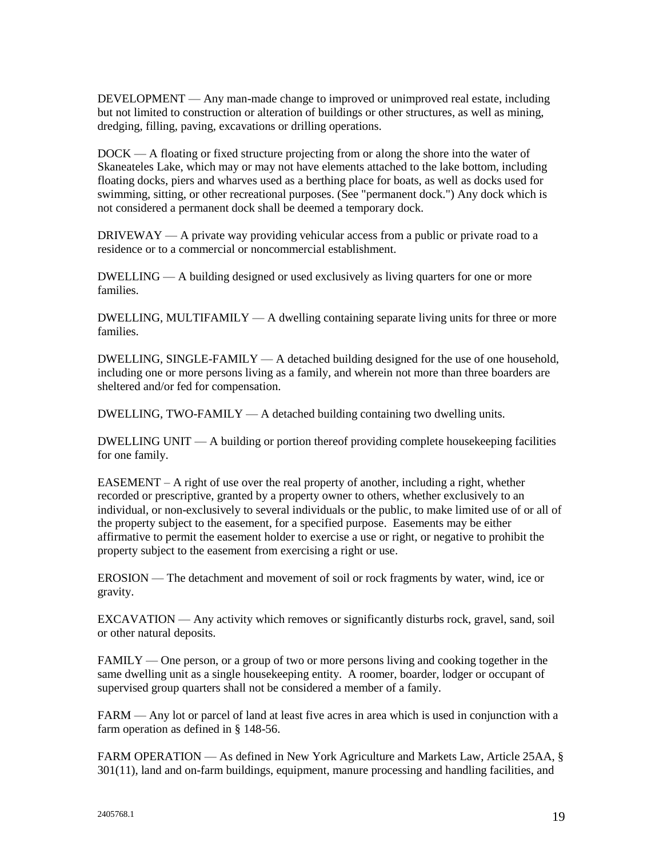DEVELOPMENT — Any man-made change to improved or unimproved real estate, including but not limited to construction or alteration of buildings or other structures, as well as mining, dredging, filling, paving, excavations or drilling operations.

DOCK — A floating or fixed structure projecting from or along the shore into the water of Skaneateles Lake, which may or may not have elements attached to the lake bottom, including floating docks, piers and wharves used as a berthing place for boats, as well as docks used for swimming, sitting, or other recreational purposes. (See "permanent dock.") Any dock which is not considered a permanent dock shall be deemed a temporary dock.

DRIVEWAY — A private way providing vehicular access from a public or private road to a residence or to a commercial or noncommercial establishment.

DWELLING — A building designed or used exclusively as living quarters for one or more families.

DWELLING, MULTIFAMILY — A dwelling containing separate living units for three or more families.

DWELLING, SINGLE-FAMILY — A detached building designed for the use of one household, including one or more persons living as a family, and wherein not more than three boarders are sheltered and/or fed for compensation.

DWELLING, TWO-FAMILY — A detached building containing two dwelling units.

DWELLING UNIT — A building or portion thereof providing complete housekeeping facilities for one family.

EASEMENT – A right of use over the real property of another, including a right, whether recorded or prescriptive, granted by a property owner to others, whether exclusively to an individual, or non-exclusively to several individuals or the public, to make limited use of or all of the property subject to the easement, for a specified purpose. Easements may be either affirmative to permit the easement holder to exercise a use or right, or negative to prohibit the property subject to the easement from exercising a right or use.

EROSION — The detachment and movement of soil or rock fragments by water, wind, ice or gravity.

EXCAVATION — Any activity which removes or significantly disturbs rock, gravel, sand, soil or other natural deposits.

FAMILY — One person, or a group of two or more persons living and cooking together in the same dwelling unit as a single housekeeping entity. A roomer, boarder, lodger or occupant of supervised group quarters shall not be considered a member of a family.

FARM — Any lot or parcel of land at least five acres in area which is used in conjunction with a farm operation as defined in § 148-56.

FARM OPERATION — As defined in New York Agriculture and Markets Law, Article 25AA, § 301(11), land and on-farm buildings, equipment, manure processing and handling facilities, and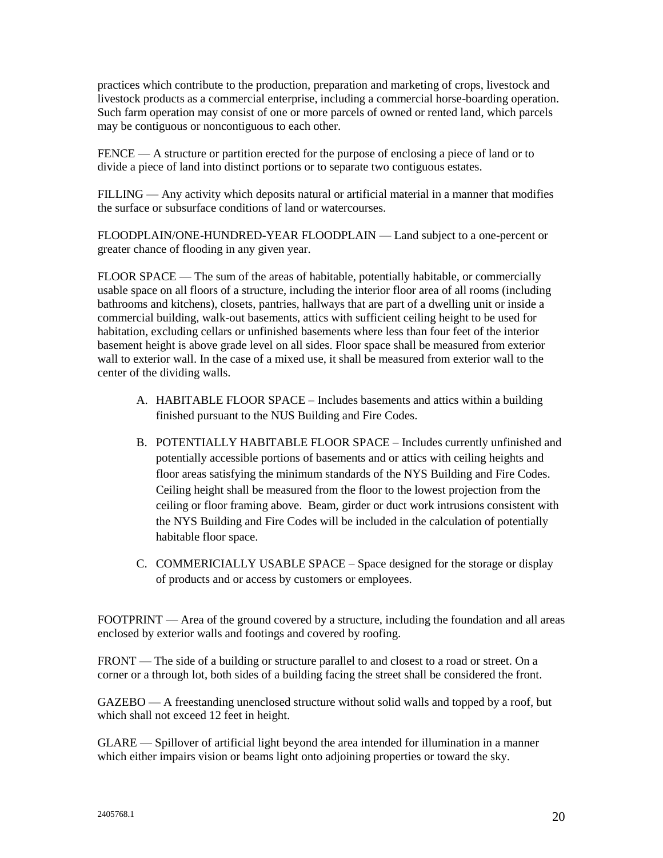practices which contribute to the production, preparation and marketing of crops, livestock and livestock products as a commercial enterprise, including a commercial horse-boarding operation. Such farm operation may consist of one or more parcels of owned or rented land, which parcels may be contiguous or noncontiguous to each other.

FENCE — A structure or partition erected for the purpose of enclosing a piece of land or to divide a piece of land into distinct portions or to separate two contiguous estates.

FILLING — Any activity which deposits natural or artificial material in a manner that modifies the surface or subsurface conditions of land or watercourses.

FLOODPLAIN/ONE-HUNDRED-YEAR FLOODPLAIN — Land subject to a one-percent or greater chance of flooding in any given year.

FLOOR SPACE — The sum of the areas of habitable, potentially habitable, or commercially usable space on all floors of a structure, including the interior floor area of all rooms (including bathrooms and kitchens), closets, pantries, hallways that are part of a dwelling unit or inside a commercial building, walk-out basements, attics with sufficient ceiling height to be used for habitation, excluding cellars or unfinished basements where less than four feet of the interior basement height is above grade level on all sides. Floor space shall be measured from exterior wall to exterior wall. In the case of a mixed use, it shall be measured from exterior wall to the center of the dividing walls.

- A. HABITABLE FLOOR SPACE Includes basements and attics within a building finished pursuant to the NUS Building and Fire Codes.
- B. POTENTIALLY HABITABLE FLOOR SPACE Includes currently unfinished and potentially accessible portions of basements and or attics with ceiling heights and floor areas satisfying the minimum standards of the NYS Building and Fire Codes. Ceiling height shall be measured from the floor to the lowest projection from the ceiling or floor framing above. Beam, girder or duct work intrusions consistent with the NYS Building and Fire Codes will be included in the calculation of potentially habitable floor space.
- C. COMMERICIALLY USABLE SPACE Space designed for the storage or display of products and or access by customers or employees.

FOOTPRINT — Area of the ground covered by a structure, including the foundation and all areas enclosed by exterior walls and footings and covered by roofing.

FRONT — The side of a building or structure parallel to and closest to a road or street. On a corner or a through lot, both sides of a building facing the street shall be considered the front.

GAZEBO — A freestanding unenclosed structure without solid walls and topped by a roof, but which shall not exceed 12 feet in height.

GLARE — Spillover of artificial light beyond the area intended for illumination in a manner which either impairs vision or beams light onto adjoining properties or toward the sky.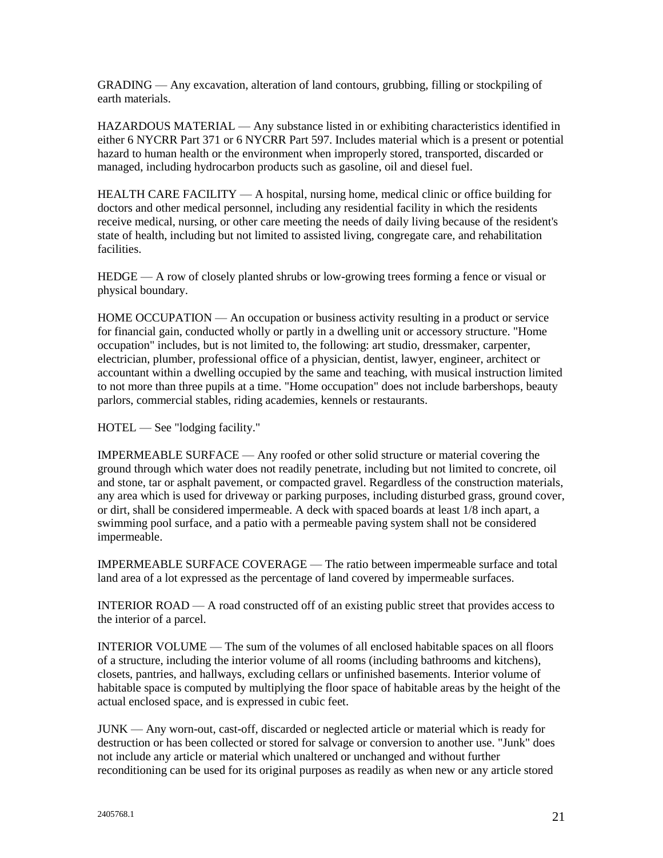GRADING — Any excavation, alteration of land contours, grubbing, filling or stockpiling of earth materials.

HAZARDOUS MATERIAL — Any substance listed in or exhibiting characteristics identified in either 6 NYCRR Part 371 or 6 NYCRR Part 597. Includes material which is a present or potential hazard to human health or the environment when improperly stored, transported, discarded or managed, including hydrocarbon products such as gasoline, oil and diesel fuel.

HEALTH CARE FACILITY — A hospital, nursing home, medical clinic or office building for doctors and other medical personnel, including any residential facility in which the residents receive medical, nursing, or other care meeting the needs of daily living because of the resident's state of health, including but not limited to assisted living, congregate care, and rehabilitation facilities.

HEDGE — A row of closely planted shrubs or low-growing trees forming a fence or visual or physical boundary.

HOME OCCUPATION — An occupation or business activity resulting in a product or service for financial gain, conducted wholly or partly in a dwelling unit or accessory structure. "Home occupation" includes, but is not limited to, the following: art studio, dressmaker, carpenter, electrician, plumber, professional office of a physician, dentist, lawyer, engineer, architect or accountant within a dwelling occupied by the same and teaching, with musical instruction limited to not more than three pupils at a time. "Home occupation" does not include barbershops, beauty parlors, commercial stables, riding academies, kennels or restaurants.

HOTEL — See "lodging facility."

IMPERMEABLE SURFACE — Any roofed or other solid structure or material covering the ground through which water does not readily penetrate, including but not limited to concrete, oil and stone, tar or asphalt pavement, or compacted gravel. Regardless of the construction materials, any area which is used for driveway or parking purposes, including disturbed grass, ground cover, or dirt, shall be considered impermeable. A deck with spaced boards at least 1/8 inch apart, a swimming pool surface, and a patio with a permeable paving system shall not be considered impermeable.

IMPERMEABLE SURFACE COVERAGE — The ratio between impermeable surface and total land area of a lot expressed as the percentage of land covered by impermeable surfaces.

INTERIOR ROAD — A road constructed off of an existing public street that provides access to the interior of a parcel.

INTERIOR VOLUME — The sum of the volumes of all enclosed habitable spaces on all floors of a structure, including the interior volume of all rooms (including bathrooms and kitchens), closets, pantries, and hallways, excluding cellars or unfinished basements. Interior volume of habitable space is computed by multiplying the floor space of habitable areas by the height of the actual enclosed space, and is expressed in cubic feet.

JUNK — Any worn-out, cast-off, discarded or neglected article or material which is ready for destruction or has been collected or stored for salvage or conversion to another use. "Junk" does not include any article or material which unaltered or unchanged and without further reconditioning can be used for its original purposes as readily as when new or any article stored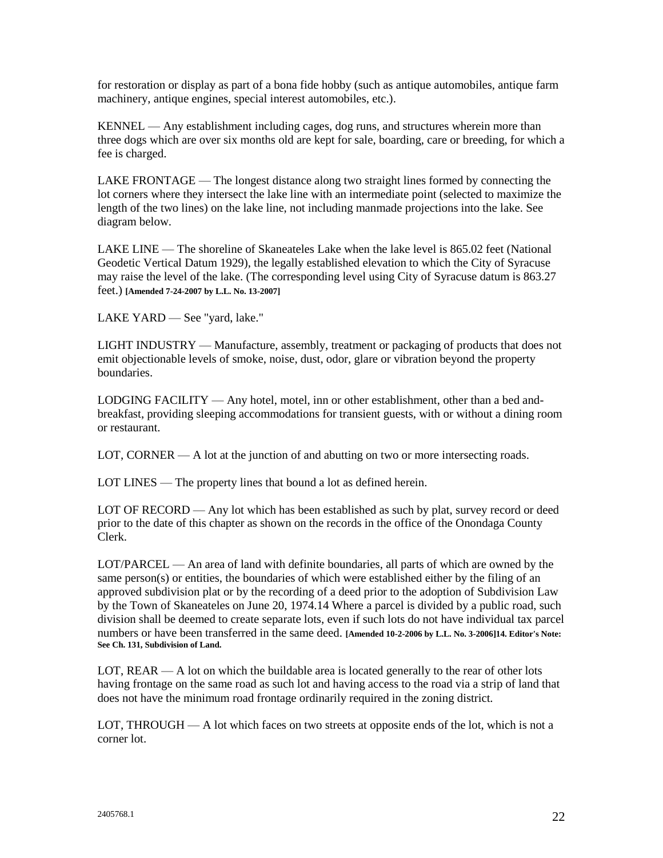for restoration or display as part of a bona fide hobby (such as antique automobiles, antique farm machinery, antique engines, special interest automobiles, etc.).

KENNEL — Any establishment including cages, dog runs, and structures wherein more than three dogs which are over six months old are kept for sale, boarding, care or breeding, for which a fee is charged.

LAKE FRONTAGE — The longest distance along two straight lines formed by connecting the lot corners where they intersect the lake line with an intermediate point (selected to maximize the length of the two lines) on the lake line, not including manmade projections into the lake. See diagram below.

LAKE LINE — The shoreline of Skaneateles Lake when the lake level is 865.02 feet (National Geodetic Vertical Datum 1929), the legally established elevation to which the City of Syracuse may raise the level of the lake. (The corresponding level using City of Syracuse datum is 863.27 feet.) **[Amended 7-24-2007 by L.L. No. 13-2007]**

LAKE YARD — See "yard, lake."

LIGHT INDUSTRY — Manufacture, assembly, treatment or packaging of products that does not emit objectionable levels of smoke, noise, dust, odor, glare or vibration beyond the property boundaries.

LODGING FACILITY — Any hotel, motel, inn or other establishment, other than a bed andbreakfast, providing sleeping accommodations for transient guests, with or without a dining room or restaurant.

LOT, CORNER — A lot at the junction of and abutting on two or more intersecting roads.

LOT LINES — The property lines that bound a lot as defined herein.

LOT OF RECORD — Any lot which has been established as such by plat, survey record or deed prior to the date of this chapter as shown on the records in the office of the Onondaga County Clerk.

LOT/PARCEL — An area of land with definite boundaries, all parts of which are owned by the same person(s) or entities, the boundaries of which were established either by the filing of an approved subdivision plat or by the recording of a deed prior to the adoption of Subdivision Law by the Town of Skaneateles on June 20, 1974.14 Where a parcel is divided by a public road, such division shall be deemed to create separate lots, even if such lots do not have individual tax parcel numbers or have been transferred in the same deed. **[Amended 10-2-2006 by L.L. No. 3-2006]14. Editor's Note: See Ch. 131, Subdivision of Land.**

LOT, REAR — A lot on which the buildable area is located generally to the rear of other lots having frontage on the same road as such lot and having access to the road via a strip of land that does not have the minimum road frontage ordinarily required in the zoning district.

LOT, THROUGH — A lot which faces on two streets at opposite ends of the lot, which is not a corner lot.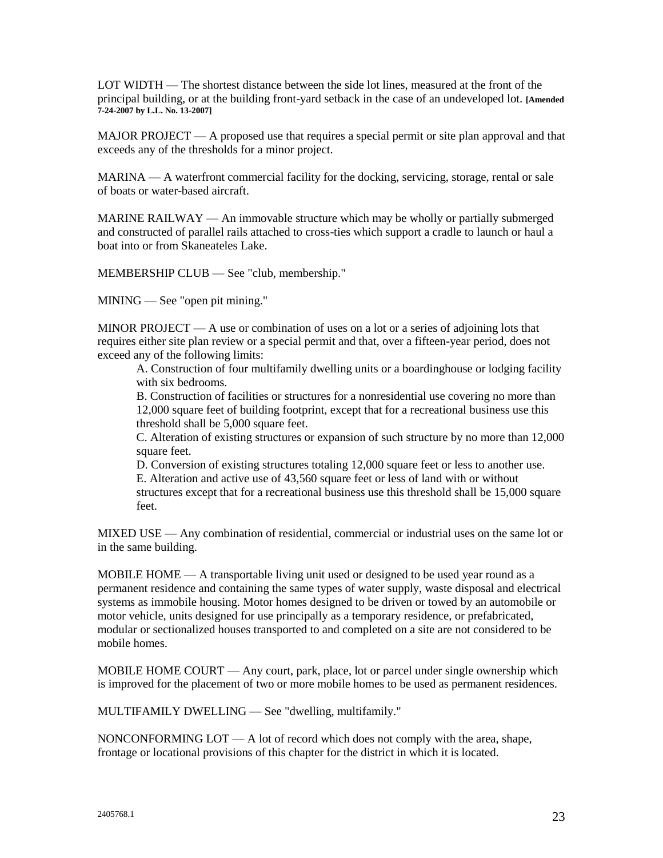LOT WIDTH — The shortest distance between the side lot lines, measured at the front of the principal building, or at the building front-yard setback in the case of an undeveloped lot. **[Amended 7-24-2007 by L.L. No. 13-2007]**

MAJOR PROJECT — A proposed use that requires a special permit or site plan approval and that exceeds any of the thresholds for a minor project.

MARINA — A waterfront commercial facility for the docking, servicing, storage, rental or sale of boats or water-based aircraft.

MARINE RAILWAY — An immovable structure which may be wholly or partially submerged and constructed of parallel rails attached to cross-ties which support a cradle to launch or haul a boat into or from Skaneateles Lake.

MEMBERSHIP CLUB — See "club, membership."

MINING — See "open pit mining."

MINOR PROJECT — A use or combination of uses on a lot or a series of adjoining lots that requires either site plan review or a special permit and that, over a fifteen-year period, does not exceed any of the following limits:

A. Construction of four multifamily dwelling units or a boardinghouse or lodging facility with six bedrooms.

B. Construction of facilities or structures for a nonresidential use covering no more than 12,000 square feet of building footprint, except that for a recreational business use this threshold shall be 5,000 square feet.

C. Alteration of existing structures or expansion of such structure by no more than 12,000 square feet.

D. Conversion of existing structures totaling 12,000 square feet or less to another use. E. Alteration and active use of 43,560 square feet or less of land with or without structures except that for a recreational business use this threshold shall be 15,000 square feet.

MIXED USE — Any combination of residential, commercial or industrial uses on the same lot or in the same building.

MOBILE HOME — A transportable living unit used or designed to be used year round as a permanent residence and containing the same types of water supply, waste disposal and electrical systems as immobile housing. Motor homes designed to be driven or towed by an automobile or motor vehicle, units designed for use principally as a temporary residence, or prefabricated, modular or sectionalized houses transported to and completed on a site are not considered to be mobile homes.

MOBILE HOME COURT — Any court, park, place, lot or parcel under single ownership which is improved for the placement of two or more mobile homes to be used as permanent residences.

MULTIFAMILY DWELLING — See "dwelling, multifamily."

NONCONFORMING LOT — A lot of record which does not comply with the area, shape, frontage or locational provisions of this chapter for the district in which it is located.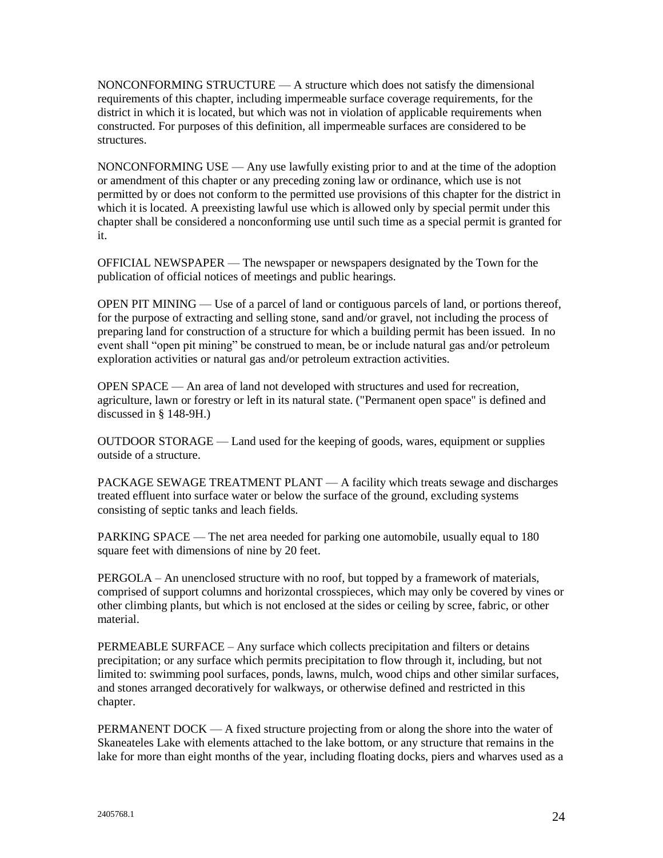NONCONFORMING STRUCTURE — A structure which does not satisfy the dimensional requirements of this chapter, including impermeable surface coverage requirements, for the district in which it is located, but which was not in violation of applicable requirements when constructed. For purposes of this definition, all impermeable surfaces are considered to be structures.

NONCONFORMING USE — Any use lawfully existing prior to and at the time of the adoption or amendment of this chapter or any preceding zoning law or ordinance, which use is not permitted by or does not conform to the permitted use provisions of this chapter for the district in which it is located. A preexisting lawful use which is allowed only by special permit under this chapter shall be considered a nonconforming use until such time as a special permit is granted for it.

OFFICIAL NEWSPAPER — The newspaper or newspapers designated by the Town for the publication of official notices of meetings and public hearings.

OPEN PIT MINING — Use of a parcel of land or contiguous parcels of land, or portions thereof, for the purpose of extracting and selling stone, sand and/or gravel, not including the process of preparing land for construction of a structure for which a building permit has been issued. In no event shall "open pit mining" be construed to mean, be or include natural gas and/or petroleum exploration activities or natural gas and/or petroleum extraction activities.

OPEN SPACE — An area of land not developed with structures and used for recreation, agriculture, lawn or forestry or left in its natural state. ("Permanent open space" is defined and discussed in § 148-9H.)

OUTDOOR STORAGE — Land used for the keeping of goods, wares, equipment or supplies outside of a structure.

PACKAGE SEWAGE TREATMENT PLANT — A facility which treats sewage and discharges treated effluent into surface water or below the surface of the ground, excluding systems consisting of septic tanks and leach fields.

PARKING SPACE — The net area needed for parking one automobile, usually equal to 180 square feet with dimensions of nine by 20 feet.

PERGOLA – An unenclosed structure with no roof, but topped by a framework of materials, comprised of support columns and horizontal crosspieces, which may only be covered by vines or other climbing plants, but which is not enclosed at the sides or ceiling by scree, fabric, or other material.

PERMEABLE SURFACE – Any surface which collects precipitation and filters or detains precipitation; or any surface which permits precipitation to flow through it, including, but not limited to: swimming pool surfaces, ponds, lawns, mulch, wood chips and other similar surfaces, and stones arranged decoratively for walkways, or otherwise defined and restricted in this chapter.

PERMANENT DOCK — A fixed structure projecting from or along the shore into the water of Skaneateles Lake with elements attached to the lake bottom, or any structure that remains in the lake for more than eight months of the year, including floating docks, piers and wharves used as a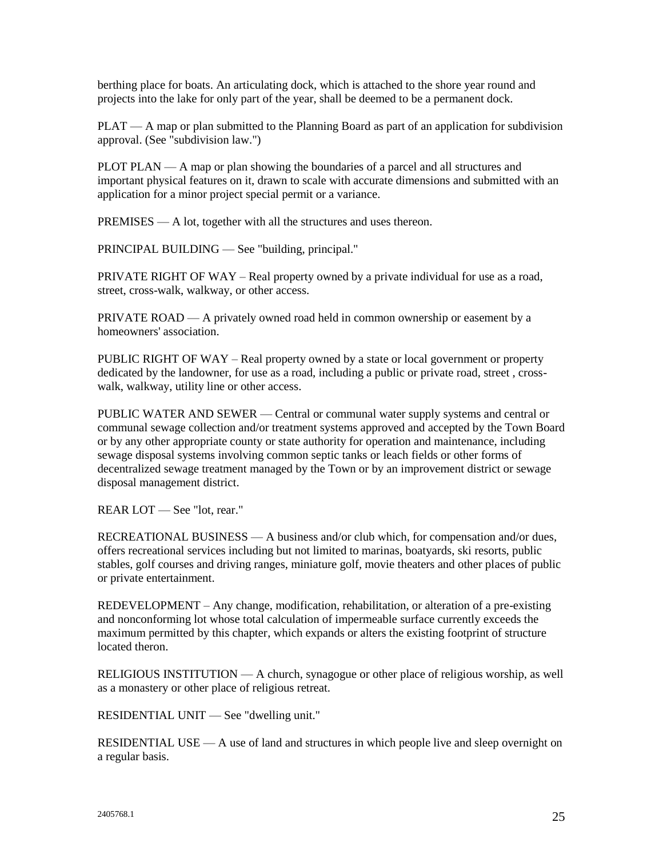berthing place for boats. An articulating dock, which is attached to the shore year round and projects into the lake for only part of the year, shall be deemed to be a permanent dock.

PLAT — A map or plan submitted to the Planning Board as part of an application for subdivision approval. (See "subdivision law.")

PLOT PLAN — A map or plan showing the boundaries of a parcel and all structures and important physical features on it, drawn to scale with accurate dimensions and submitted with an application for a minor project special permit or a variance.

PREMISES — A lot, together with all the structures and uses thereon.

PRINCIPAL BUILDING — See "building, principal."

PRIVATE RIGHT OF WAY – Real property owned by a private individual for use as a road, street, cross-walk, walkway, or other access.

PRIVATE ROAD — A privately owned road held in common ownership or easement by a homeowners' association.

PUBLIC RIGHT OF WAY – Real property owned by a state or local government or property dedicated by the landowner, for use as a road, including a public or private road, street , crosswalk, walkway, utility line or other access.

PUBLIC WATER AND SEWER — Central or communal water supply systems and central or communal sewage collection and/or treatment systems approved and accepted by the Town Board or by any other appropriate county or state authority for operation and maintenance, including sewage disposal systems involving common septic tanks or leach fields or other forms of decentralized sewage treatment managed by the Town or by an improvement district or sewage disposal management district.

REAR LOT — See "lot, rear."

RECREATIONAL BUSINESS — A business and/or club which, for compensation and/or dues, offers recreational services including but not limited to marinas, boatyards, ski resorts, public stables, golf courses and driving ranges, miniature golf, movie theaters and other places of public or private entertainment.

REDEVELOPMENT – Any change, modification, rehabilitation, or alteration of a pre-existing and nonconforming lot whose total calculation of impermeable surface currently exceeds the maximum permitted by this chapter, which expands or alters the existing footprint of structure located theron.

RELIGIOUS INSTITUTION — A church, synagogue or other place of religious worship, as well as a monastery or other place of religious retreat.

RESIDENTIAL UNIT — See "dwelling unit."

RESIDENTIAL USE — A use of land and structures in which people live and sleep overnight on a regular basis.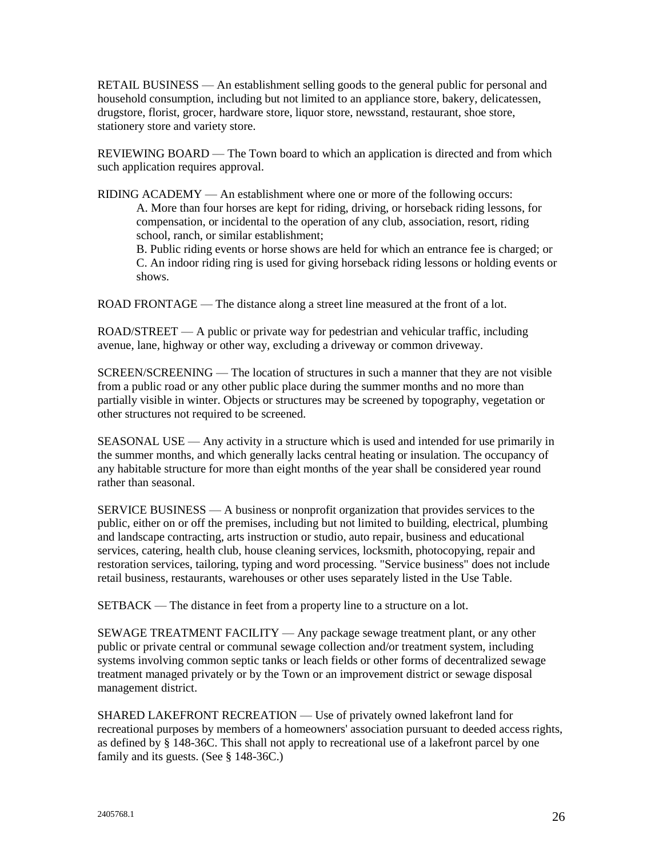RETAIL BUSINESS — An establishment selling goods to the general public for personal and household consumption, including but not limited to an appliance store, bakery, delicatessen, drugstore, florist, grocer, hardware store, liquor store, newsstand, restaurant, shoe store, stationery store and variety store.

REVIEWING BOARD — The Town board to which an application is directed and from which such application requires approval.

RIDING ACADEMY — An establishment where one or more of the following occurs: A. More than four horses are kept for riding, driving, or horseback riding lessons, for compensation, or incidental to the operation of any club, association, resort, riding school, ranch, or similar establishment;

B. Public riding events or horse shows are held for which an entrance fee is charged; or C. An indoor riding ring is used for giving horseback riding lessons or holding events or shows.

ROAD FRONTAGE — The distance along a street line measured at the front of a lot.

ROAD/STREET — A public or private way for pedestrian and vehicular traffic, including avenue, lane, highway or other way, excluding a driveway or common driveway.

SCREEN/SCREENING — The location of structures in such a manner that they are not visible from a public road or any other public place during the summer months and no more than partially visible in winter. Objects or structures may be screened by topography, vegetation or other structures not required to be screened.

SEASONAL USE — Any activity in a structure which is used and intended for use primarily in the summer months, and which generally lacks central heating or insulation. The occupancy of any habitable structure for more than eight months of the year shall be considered year round rather than seasonal.

SERVICE BUSINESS — A business or nonprofit organization that provides services to the public, either on or off the premises, including but not limited to building, electrical, plumbing and landscape contracting, arts instruction or studio, auto repair, business and educational services, catering, health club, house cleaning services, locksmith, photocopying, repair and restoration services, tailoring, typing and word processing. "Service business" does not include retail business, restaurants, warehouses or other uses separately listed in the Use Table.

SETBACK — The distance in feet from a property line to a structure on a lot.

SEWAGE TREATMENT FACILITY — Any package sewage treatment plant, or any other public or private central or communal sewage collection and/or treatment system, including systems involving common septic tanks or leach fields or other forms of decentralized sewage treatment managed privately or by the Town or an improvement district or sewage disposal management district.

SHARED LAKEFRONT RECREATION — Use of privately owned lakefront land for recreational purposes by members of a homeowners' association pursuant to deeded access rights, as defined by § 148-36C. This shall not apply to recreational use of a lakefront parcel by one family and its guests. (See § 148-36C.)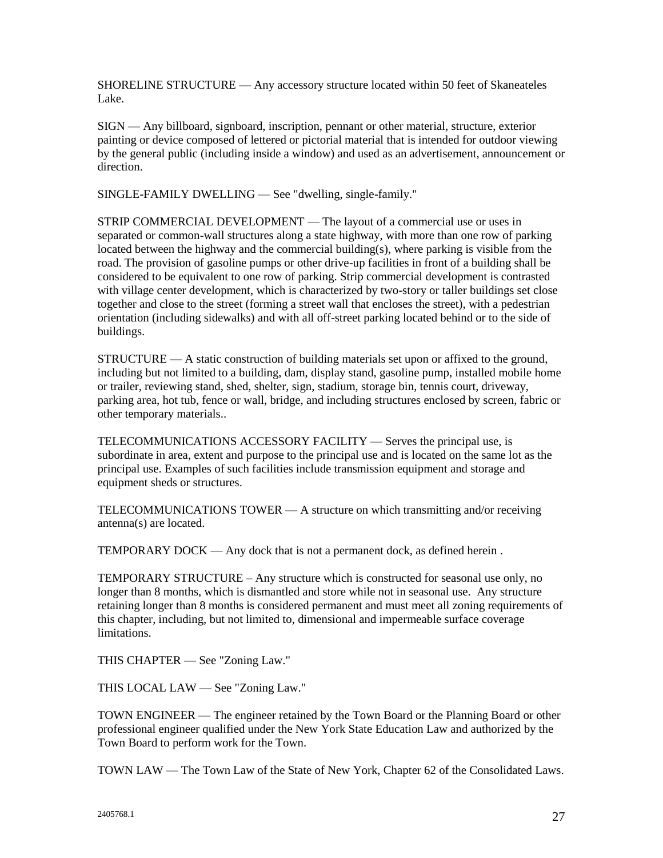SHORELINE STRUCTURE — Any accessory structure located within 50 feet of Skaneateles Lake.

SIGN — Any billboard, signboard, inscription, pennant or other material, structure, exterior painting or device composed of lettered or pictorial material that is intended for outdoor viewing by the general public (including inside a window) and used as an advertisement, announcement or direction.

SINGLE-FAMILY DWELLING — See "dwelling, single-family."

STRIP COMMERCIAL DEVELOPMENT — The layout of a commercial use or uses in separated or common-wall structures along a state highway, with more than one row of parking located between the highway and the commercial building(s), where parking is visible from the road. The provision of gasoline pumps or other drive-up facilities in front of a building shall be considered to be equivalent to one row of parking. Strip commercial development is contrasted with village center development, which is characterized by two-story or taller buildings set close together and close to the street (forming a street wall that encloses the street), with a pedestrian orientation (including sidewalks) and with all off-street parking located behind or to the side of buildings.

STRUCTURE — A static construction of building materials set upon or affixed to the ground, including but not limited to a building, dam, display stand, gasoline pump, installed mobile home or trailer, reviewing stand, shed, shelter, sign, stadium, storage bin, tennis court, driveway, parking area, hot tub, fence or wall, bridge, and including structures enclosed by screen, fabric or other temporary materials..

TELECOMMUNICATIONS ACCESSORY FACILITY — Serves the principal use, is subordinate in area, extent and purpose to the principal use and is located on the same lot as the principal use. Examples of such facilities include transmission equipment and storage and equipment sheds or structures.

TELECOMMUNICATIONS TOWER — A structure on which transmitting and/or receiving antenna(s) are located.

TEMPORARY DOCK — Any dock that is not a permanent dock, as defined herein .

TEMPORARY STRUCTURE – Any structure which is constructed for seasonal use only, no longer than 8 months, which is dismantled and store while not in seasonal use. Any structure retaining longer than 8 months is considered permanent and must meet all zoning requirements of this chapter, including, but not limited to, dimensional and impermeable surface coverage limitations.

THIS CHAPTER — See "Zoning Law."

THIS LOCAL LAW — See "Zoning Law."

TOWN ENGINEER — The engineer retained by the Town Board or the Planning Board or other professional engineer qualified under the New York State Education Law and authorized by the Town Board to perform work for the Town.

TOWN LAW — The Town Law of the State of New York, Chapter 62 of the Consolidated Laws.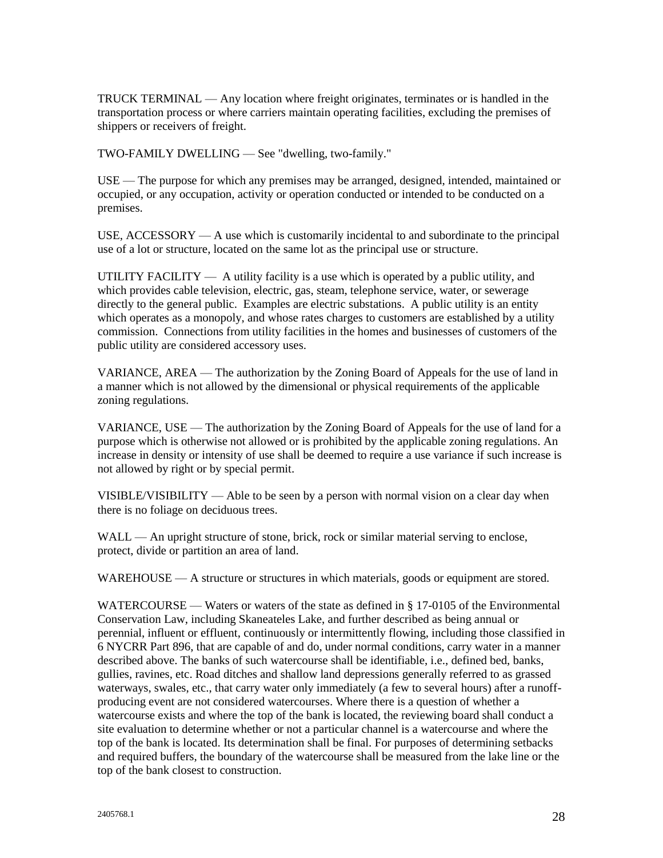TRUCK TERMINAL — Any location where freight originates, terminates or is handled in the transportation process or where carriers maintain operating facilities, excluding the premises of shippers or receivers of freight.

TWO-FAMILY DWELLING — See "dwelling, two-family."

USE — The purpose for which any premises may be arranged, designed, intended, maintained or occupied, or any occupation, activity or operation conducted or intended to be conducted on a premises.

USE,  $ACESSORY - A$  use which is customarily incidental to and subordinate to the principal use of a lot or structure, located on the same lot as the principal use or structure.

UTILITY FACILITY  $- A$  utility facility is a use which is operated by a public utility, and which provides cable television, electric, gas, steam, telephone service, water, or sewerage directly to the general public. Examples are electric substations. A public utility is an entity which operates as a monopoly, and whose rates charges to customers are established by a utility commission. Connections from utility facilities in the homes and businesses of customers of the public utility are considered accessory uses.

VARIANCE, AREA — The authorization by the Zoning Board of Appeals for the use of land in a manner which is not allowed by the dimensional or physical requirements of the applicable zoning regulations.

VARIANCE, USE — The authorization by the Zoning Board of Appeals for the use of land for a purpose which is otherwise not allowed or is prohibited by the applicable zoning regulations. An increase in density or intensity of use shall be deemed to require a use variance if such increase is not allowed by right or by special permit.

VISIBLE/VISIBILITY — Able to be seen by a person with normal vision on a clear day when there is no foliage on deciduous trees.

WALL — An upright structure of stone, brick, rock or similar material serving to enclose, protect, divide or partition an area of land.

WAREHOUSE — A structure or structures in which materials, goods or equipment are stored.

WATERCOURSE — Waters or waters of the state as defined in § 17-0105 of the Environmental Conservation Law, including Skaneateles Lake, and further described as being annual or perennial, influent or effluent, continuously or intermittently flowing, including those classified in 6 NYCRR Part 896, that are capable of and do, under normal conditions, carry water in a manner described above. The banks of such watercourse shall be identifiable, i.e., defined bed, banks, gullies, ravines, etc. Road ditches and shallow land depressions generally referred to as grassed waterways, swales, etc., that carry water only immediately (a few to several hours) after a runoffproducing event are not considered watercourses. Where there is a question of whether a watercourse exists and where the top of the bank is located, the reviewing board shall conduct a site evaluation to determine whether or not a particular channel is a watercourse and where the top of the bank is located. Its determination shall be final. For purposes of determining setbacks and required buffers, the boundary of the watercourse shall be measured from the lake line or the top of the bank closest to construction.